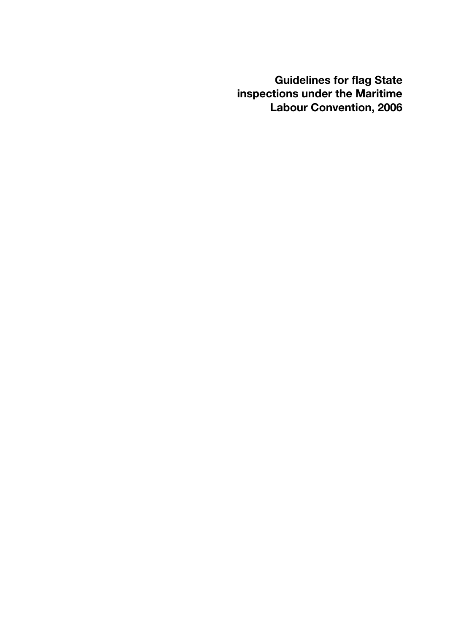**Guidelines for flag State inspections under the Maritime Labour Convention, 2006**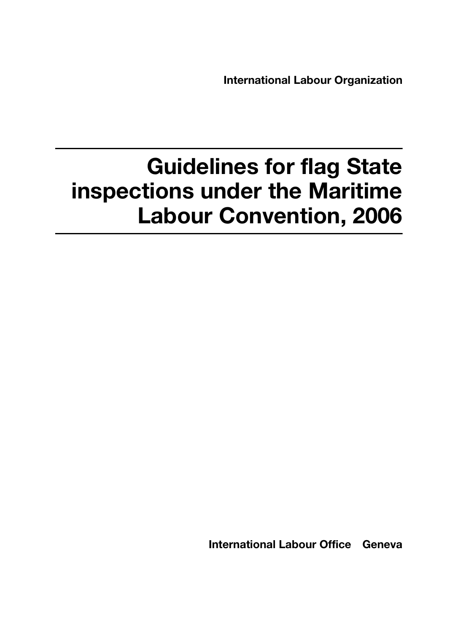**International Labour Organization**

# **Guidelines for flag State inspections under the Maritime Labour Convention, 2006**

**International Labour Office Geneva**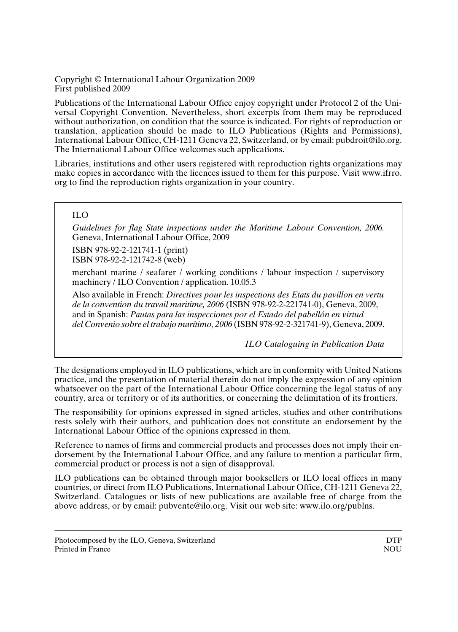Copyright © International Labour Organization 2009 First published 2009

Publications of the International Labour Office enjoy copyright under Protocol 2 of the Universal Copyright Convention. Nevertheless, short excerpts from them may be reproduced without authorization, on condition that the source is indicated. For rights of reproduction or translation, application should be made to ILO Publications (Rights and Permissions), International Labour Office, CH-1211 Geneva 22, Switzerland, or by email: pubdroit@ilo.org. The International Labour Office welcomes such applications.

Libraries, institutions and other users registered with reproduction rights organizations may make copies in accordance with the licences issued to them for this purpose. Visit www.ifrro. org to find the reproduction rights organization in your country.

#### ILO

*Guidelines for flag State inspections under the Maritime Labour Convention, 2006.* Geneva, International Labour Office, 2009

ISBN 978-92-2-121741-1 (print) ISBN 978-92-2-121742-8 (web)

merchant marine / seafarer / working conditions / labour inspection / supervisory machinery / ILO Convention / application. 10.05.3

Also available in French: *Directives pour les inspections des Etats du pavillon en vertu de la convention du travail maritime, 2006* (ISBN 978-92-2-221741-0), Geneva, 2009, and in Spanish: *Pautas para las inspecciones por el Estado del pabellón en virtud del Convenio sobre el trabajo marítimo, 2006* (ISBN 978-92-2-321741-9), Geneva, 2009.

*ILO Cataloguing in Publication Data*

The designations employed in ILO publications, which are in conformity with United Nations practice, and the presentation of material therein do not imply the expression of any opinion whatsoever on the part of the International Labour Office concerning the legal status of any country, area or territory or of its authorities, or concerning the delimitation of its frontiers.

The responsibility for opinions expressed in signed articles, studies and other contributions rests solely with their authors, and publication does not constitute an endorsement by the International Labour Office of the opinions expressed in them.

Reference to names of firms and commercial products and processes does not imply their endorsement by the International Labour Office, and any failure to mention a particular firm, commercial product or process is not a sign of disapproval.

ILO publications can be obtained through major booksellers or ILO local offices in many countries, or direct from ILO Publications, International Labour Office, CH-1211 Geneva 22, Switzerland. Catalogues or lists of new publications are available free of charge from the above address, or by email: pubvente@ilo.org. Visit our web site: www.ilo.org/publns.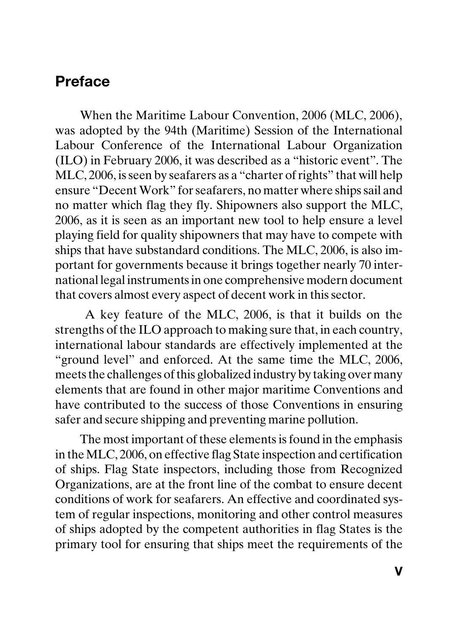## **Preface**

When the Maritime Labour Convention, 2006 (MLC, 2006), was adopted by the 94th (Maritime) Session of the International Labour Conference of the International Labour Organization (ILO) in February 2006, it was described as a "historic event". The MLC, 2006, is seen by seafarers as a "charter of rights" that will help ensure "Decent Work" for seafarers, no matter where ships sail and no matter which flag they fly. Shipowners also support the MLC, 2006, as it is seen as an important new tool to help ensure a level playing field for quality shipowners that may have to compete with ships that have substandard conditions. The MLC, 2006, is also important for governments because it brings together nearly 70 international legal instruments in one comprehensive modern document that covers almost every aspect of decent work in this sector.

 A key feature of the MLC, 2006, is that it builds on the strengths of the ILO approach to making sure that, in each country, international labour standards are effectively implemented at the "ground level" and enforced. At the same time the MLC, 2006, meets the challenges of this globalized industry by taking over many elements that are found in other major maritime Conventions and have contributed to the success of those Conventions in ensuring safer and secure shipping and preventing marine pollution.

The most important of these elements is found in the emphasis in the MLC, 2006, on effective flag State inspection and certification of ships. Flag State inspectors, including those from Recognized Organizations, are at the front line of the combat to ensure decent conditions of work for seafarers. An effective and coordinated system of regular inspections, monitoring and other control measures of ships adopted by the competent authorities in flag States is the primary tool for ensuring that ships meet the requirements of the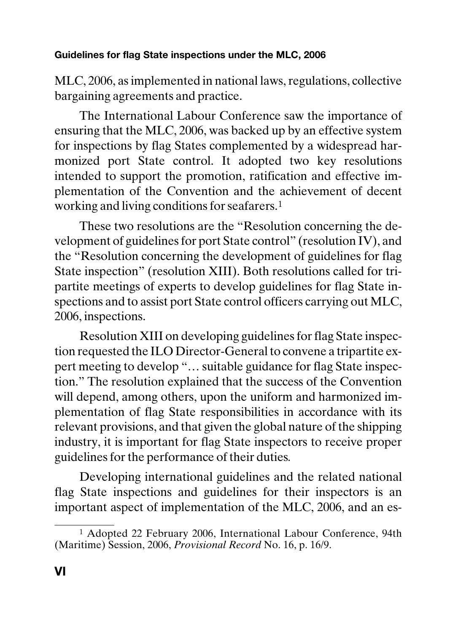MLC, 2006, as implemented in national laws, regulations, collective bargaining agreements and practice.

The International Labour Conference saw the importance of ensuring that the MLC, 2006, was backed up by an effective system for inspections by flag States complemented by a widespread harmonized port State control. It adopted two key resolutions intended to support the promotion, ratification and effective implementation of the Convention and the achievement of decent working and living conditions for seafarers.1

These two resolutions are the "Resolution concerning the development of guidelines for port State control" (resolution IV), and the "Resolution concerning the development of guidelines for flag State inspection" (resolution XIII). Both resolutions called for tripartite meetings of experts to develop guidelines for flag State inspections and to assist port State control officers carrying out MLC, 2006, inspections.

Resolution XIII on developing guidelines for flag State inspection requested the ILO Director-General to convene a tripartite expert meeting to develop "… suitable guidance for flag State inspection." The resolution explained that the success of the Convention will depend, among others, upon the uniform and harmonized implementation of flag State responsibilities in accordance with its relevant provisions, and that given the global nature of the shipping industry, it is important for flag State inspectors to receive proper guidelines for the performance of their duties*.*

Developing international guidelines and the related national flag State inspections and guidelines for their inspectors is an important aspect of implementation of the MLC, 2006, and an es-

<sup>1</sup> Adopted 22 February 2006, International Labour Conference, 94th (Maritime) Session, 2006, *Provisional Record* No. 16, p. 16/9.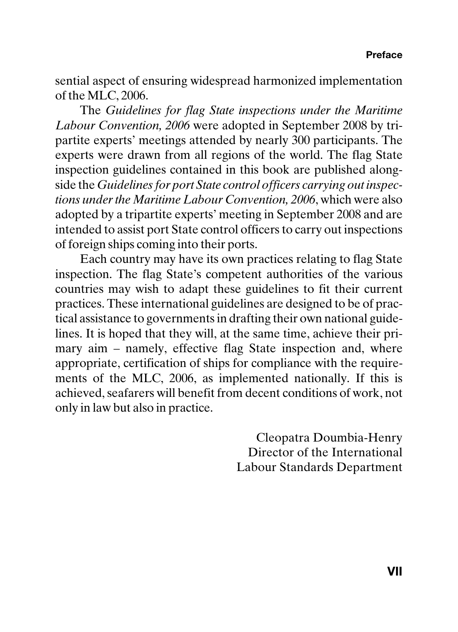sential aspect of ensuring widespread harmonized implementation of the MLC, 2006.

The *Guidelines for flag State inspections under the Maritime Labour Convention, 2006* were adopted in September 2008 by tripartite experts' meetings attended by nearly 300 participants. The experts were drawn from all regions of the world. The flag State inspection guidelines contained in this book are published alongside the *Guidelines for port State control officers carrying out inspections under the Maritime Labour Convention, 2006*, which were also adopted by a tripartite experts' meeting in September 2008 and are intended to assist port State control officers to carry out inspections of foreign ships coming into their ports.

Each country may have its own practices relating to flag State inspection. The flag State's competent authorities of the various countries may wish to adapt these guidelines to fit their current practices. These international guidelines are designed to be of practical assistance to governments in drafting their own national guidelines. It is hoped that they will, at the same time, achieve their primary aim – namely, effective flag State inspection and, where appropriate, certification of ships for compliance with the requirements of the MLC, 2006, as implemented nationally. If this is achieved, seafarers will benefit from decent conditions of work, not only in law but also in practice.

> Cleopatra Doumbia-Henry Director of the International Labour Standards Department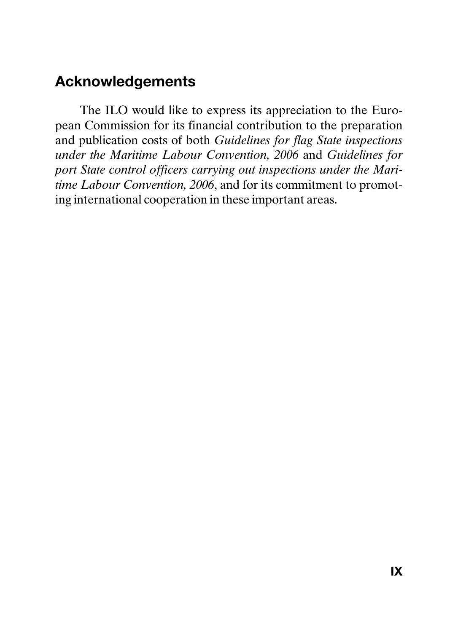## **Acknowledgements**

The ILO would like to express its appreciation to the European Commission for its financial contribution to the preparation and publication costs of both *Guidelines for flag State inspections under the Maritime Labour Convention, 2006* and *Guidelines for port State control officers carrying out inspections under the Maritime Labour Convention, 2006*, and for its commitment to promoting international cooperation in these important areas.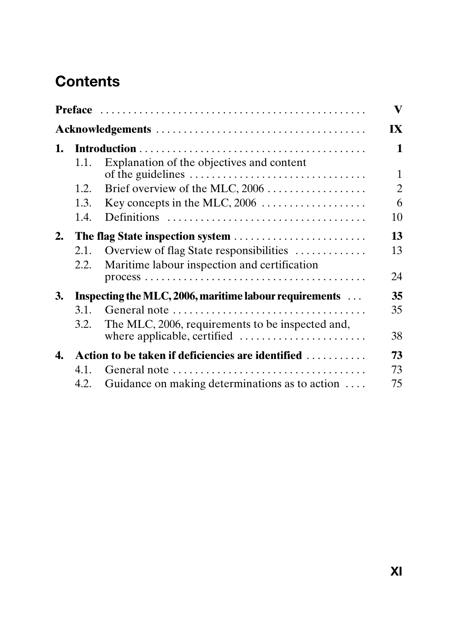# **Contents**

|    |                                                        |                                                  | $\mathbf{V}$   |
|----|--------------------------------------------------------|--------------------------------------------------|----------------|
|    |                                                        |                                                  | IX             |
| 1. |                                                        |                                                  | 1              |
|    | 1.1.                                                   | Explanation of the objectives and content        | $\mathbf{1}$   |
|    | 1.2.                                                   |                                                  | $\overline{c}$ |
|    | 1.3.                                                   |                                                  | 6              |
|    | 1.4.                                                   |                                                  | 10             |
| 2. | The flag State inspection system                       |                                                  | 13             |
|    | 2.1.                                                   | Overview of flag State responsibilities          | 13             |
|    | 2.2.                                                   | Maritime labour inspection and certification     |                |
|    |                                                        |                                                  | 24             |
| 3. | Inspecting the MLC, 2006, maritime labour requirements |                                                  | 35             |
|    | 3.1.                                                   |                                                  | 35             |
|    | 3.2.                                                   | The MLC, 2006, requirements to be inspected and, |                |
|    |                                                        |                                                  | 38             |
| 4. | Action to be taken if deficiencies are identified      |                                                  | 73             |
|    | 4.1.                                                   | General note                                     | 73             |
|    | 4.2.                                                   | Guidance on making determinations as to action   | 75             |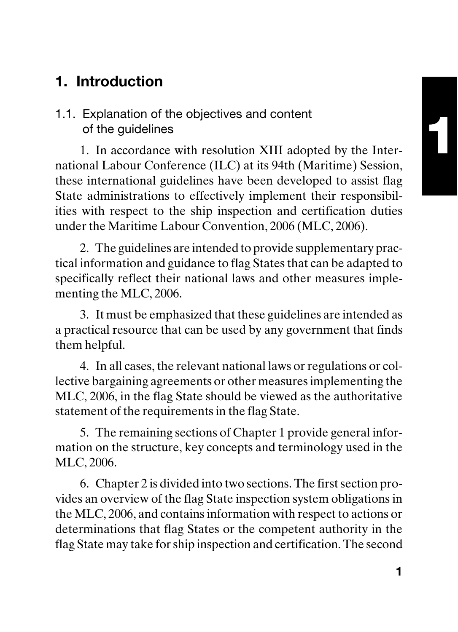# **1. Introduction**

#### 1.1. Explanation of the objectives and content of the guidelines

1. In accordance with resolution XIII adopted by the International Labour Conference (ILC) at its 94th (Maritime) Session, these international guidelines have been developed to assist flag State administrations to effectively implement their responsibilities with respect to the ship inspection and certification duties under the Maritime Labour Convention, 2006 (MLC, 2006).

2. The guidelines are intended to provide supplementary practical information and guidance to flag States that can be adapted to specifically reflect their national laws and other measures implementing the MLC, 2006.

3. It must be emphasized that these guidelines are intended as a practical resource that can be used by any government that finds them helpful.

4. In all cases, the relevant national laws or regulations or collective bargaining agreements or other measures implementing the MLC, 2006, in the flag State should be viewed as the authoritative statement of the requirements in the flag State.

5. The remaining sections of Chapter 1 provide general information on the structure, key concepts and terminology used in the MLC, 2006.

6. Chapter 2 is divided into two sections. The first section provides an overview of the flag State inspection system obligations in the MLC, 2006, and contains information with respect to actions or determinations that flag States or the competent authority in the flag State may take for ship inspection and certification. The second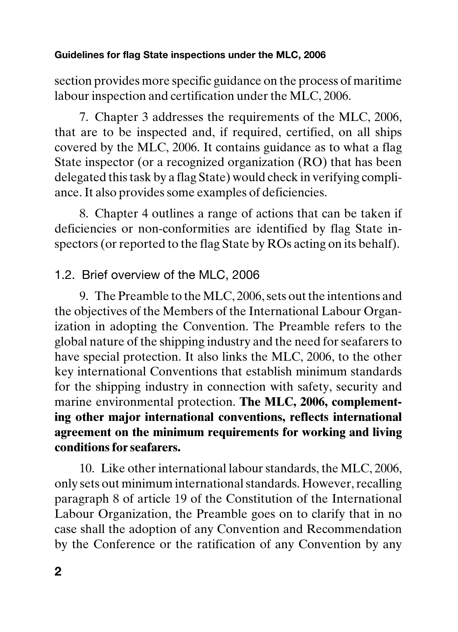section provides more specific guidance on the process of maritime labour inspection and certification under the MLC, 2006.

7. Chapter 3 addresses the requirements of the MLC, 2006, that are to be inspected and, if required, certified, on all ships covered by the MLC, 2006. It contains guidance as to what a flag State inspector (or a recognized organization (RO) that has been delegated this task by a flag State) would check in verifying compliance. It also provides some examples of deficiencies.

8. Chapter 4 outlines a range of actions that can be taken if deficiencies or non-conformities are identified by flag State inspectors (or reported to the flag State by ROs acting on its behalf).

#### 1.2. Brief overview of the MLC, 2006

9. The Preamble to the MLC, 2006, sets out the intentions and the objectives of the Members of the International Labour Organization in adopting the Convention. The Preamble refers to the global nature of the shipping industry and the need for seafarers to have special protection. It also links the MLC, 2006, to the other key international Conventions that establish minimum standards for the shipping industry in connection with safety, security and marine environmental protection. **The MLC, 2006, complementing other major international conventions, reflects international agreement on the minimum requirements for working and living conditions for seafarers.**

10. Like other international labour standards, the MLC, 2006, only sets out minimum international standards. However, recalling paragraph 8 of article 19 of the Constitution of the International Labour Organization, the Preamble goes on to clarify that in no case shall the adoption of any Convention and Recommendation by the Conference or the ratification of any Convention by any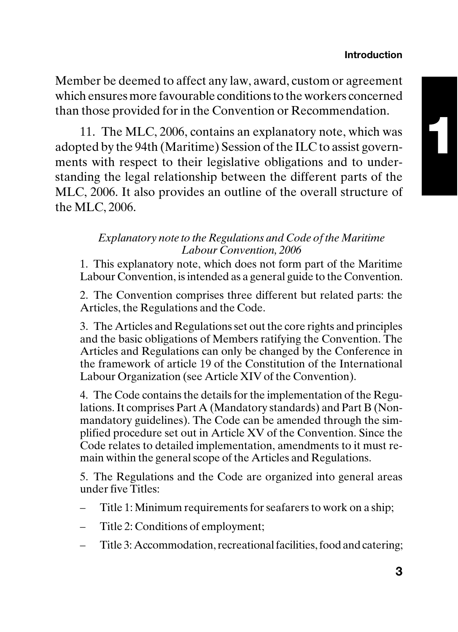#### **Introduction**

Member be deemed to affect any law, award, custom or agreement which ensures more favourable conditions to the workers concerned than those provided for in the Convention or Recommendation.

11. The MLC, 2006, contains an explanatory note, which was adopted by the 94th (Maritime) Session of the ILC to assist governments with respect to their legislative obligations and to understanding the legal relationship between the different parts of the MLC, 2006. It also provides an outline of the overall structure of the MLC, 2006.

#### *Explanatory note to the Regulations and Code of the Maritime Labour Convention, 2006*

1. This explanatory note, which does not form part of the Maritime Labour Convention, is intended as a general guide to the Convention.

2. The Convention comprises three different but related parts: the Articles, the Regulations and the Code.

3. The Articles and Regulations set out the core rights and principles and the basic obligations of Members ratifying the Convention. The Articles and Regulations can only be changed by the Conference in the framework of article 19 of the Constitution of the International Labour Organization (see Article XIV of the Convention).

4. The Code contains the details for the implementation of the Regulations. It comprises Part A (Mandatory standards) and Part B (Nonmandatory guidelines). The Code can be amended through the simplified procedure set out in Article XV of the Convention. Since the Code relates to detailed implementation, amendments to it must remain within the general scope of the Articles and Regulations.

5. The Regulations and the Code are organized into general areas under five Titles:

- Title 1: Minimum requirements for seafarers to work on a ship;
- Title 2: Conditions of employment;
- Title 3: Accommodation, recreational facilities, food and catering;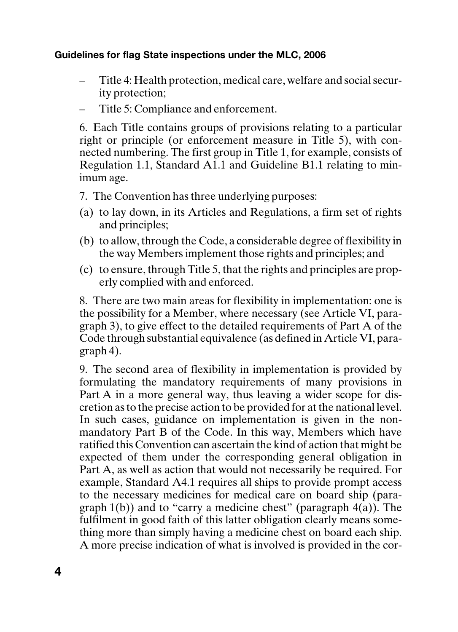- Title 4: Health protection, medical care, welfare and social security protection;
- Title 5: Compliance and enforcement.

6. Each Title contains groups of provisions relating to a particular right or principle (or enforcement measure in Title 5), with connected numbering. The first group in Title 1, for example, consists of Regulation 1.1, Standard A1.1 and Guideline B1.1 relating to minimum age.

- 7. The Convention has three underlying purposes:
- (a) to lay down, in its Articles and Regulations, a firm set of rights and principles;
- (b) to allow, through the Code, a considerable degree of flexibility in the way Members implement those rights and principles; and
- (c) to ensure, through Title 5, that the rights and principles are properly complied with and enforced.

8. There are two main areas for flexibility in implementation: one is the possibility for a Member, where necessary (see Article VI, paragraph 3), to give effect to the detailed requirements of Part A of the Code through substantial equivalence (as defined in Article VI, paragraph 4).

9. The second area of flexibility in implementation is provided by formulating the mandatory requirements of many provisions in Part A in a more general way, thus leaving a wider scope for discretion as to the precise action to be provided for at the national level. In such cases, guidance on implementation is given in the nonmandatory Part B of the Code. In this way, Members which have ratified this Convention can ascertain the kind of action that might be expected of them under the corresponding general obligation in Part A, as well as action that would not necessarily be required. For example, Standard A4.1 requires all ships to provide prompt access to the necessary medicines for medical care on board ship (paragraph  $1(b)$ ) and to "carry a medicine chest" (paragraph  $4(a)$ ). The fulfilment in good faith of this latter obligation clearly means something more than simply having a medicine chest on board each ship. A more precise indication of what is involved is provided in the cor-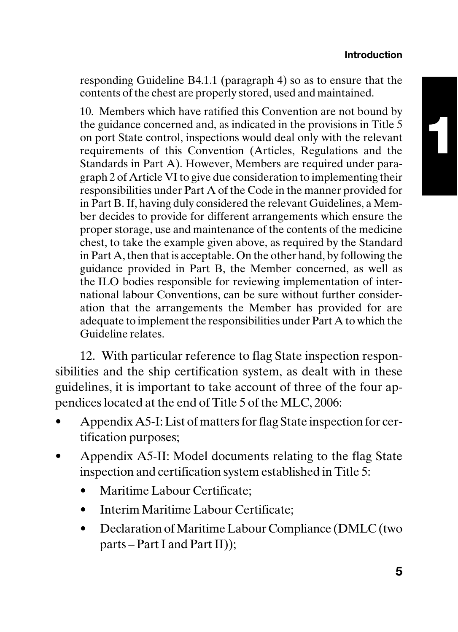**1**

responding Guideline B4.1.1 (paragraph 4) so as to ensure that the contents of the chest are properly stored, used and maintained.

10. Members which have ratified this Convention are not bound by the guidance concerned and, as indicated in the provisions in Title 5 on port State control, inspections would deal only with the relevant requirements of this Convention (Articles, Regulations and the Standards in Part A). However, Members are required under paragraph 2 of Article VI to give due consideration to implementing their responsibilities under Part A of the Code in the manner provided for in Part B. If, having duly considered the relevant Guidelines, a Member decides to provide for different arrangements which ensure the proper storage, use and maintenance of the contents of the medicine chest, to take the example given above, as required by the Standard in Part A, then that is acceptable. On the other hand, by following the guidance provided in Part B, the Member concerned, as well as the ILO bodies responsible for reviewing implementation of international labour Conventions, can be sure without further consideration that the arrangements the Member has provided for are adequate to implement the responsibilities under Part A to which the Guideline relates.

12. With particular reference to flag State inspection responsibilities and the ship certification system, as dealt with in these guidelines, it is important to take account of three of the four appendices located at the end of Title 5 of the MLC, 2006:

- Appendix A5-I: List of matters for flag State inspection for certification purposes;
- Appendix A5-II: Model documents relating to the flag State inspection and certification system established in Title 5:
	- Maritime Labour Certificate;
	- Interim Maritime Labour Certificate;
	- Declaration of Maritime Labour Compliance (DMLC (two parts – Part I and Part II));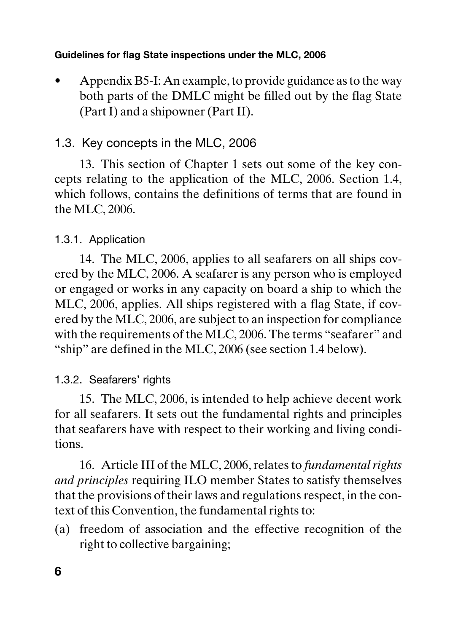• Appendix B5-I: An example, to provide guidance as to the way both parts of the DMLC might be filled out by the flag State (Part I) and a shipowner (Part II).

#### 1.3. Key concepts in the MLC, 2006

13. This section of Chapter 1 sets out some of the key concepts relating to the application of the MLC, 2006. Section 1.4, which follows, contains the definitions of terms that are found in the MLC, 2006.

#### 1.3.1. Application

14. The MLC, 2006, applies to all seafarers on all ships covered by the MLC, 2006. A seafarer is any person who is employed or engaged or works in any capacity on board a ship to which the MLC, 2006, applies. All ships registered with a flag State, if covered by the MLC, 2006, are subject to an inspection for compliance with the requirements of the MLC, 2006. The terms "seafarer" and "ship" are defined in the MLC, 2006 (see section 1.4 below).

#### 1.3.2. Seafarers' rights

15. The MLC, 2006, is intended to help achieve decent work for all seafarers. It sets out the fundamental rights and principles that seafarers have with respect to their working and living conditions.

16. Article III of the MLC, 2006, relates to *fundamental rights and principles* requiring ILO member States to satisfy themselves that the provisions of their laws and regulations respect, in the context of this Convention, the fundamental rights to:

(a) freedom of association and the effective recognition of the right to collective bargaining;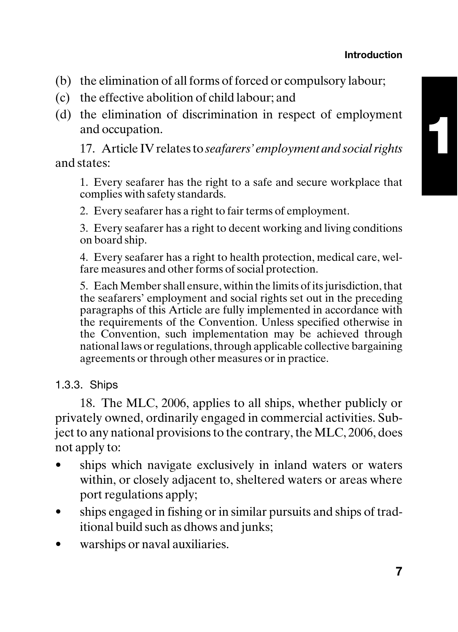**1**

- (b) the elimination of all forms of forced or compulsory labour;
- (c) the effective abolition of child labour; and
- (d) the elimination of discrimination in respect of employment and occupation.

17. Article IV relates to *seafarers' employment and social rights* and states:

1. Every seafarer has the right to a safe and secure workplace that complies with safety standards.

2. Every seafarer has a right to fair terms of employment.

3. Every seafarer has a right to decent working and living conditions on board ship.

4. Every seafarer has a right to health protection, medical care, welfare measures and other forms of social protection.

5. Each Member shall ensure, within the limits of its jurisdiction, that the seafarers' employment and social rights set out in the preceding paragraphs of this Article are fully implemented in accordance with the requirements of the Convention. Unless specified otherwise in the Convention, such implementation may be achieved through national laws or regulations, through applicable collective bargaining agreements or through other measures or in practice.

1.3.3. Ships

18. The MLC, 2006, applies to all ships, whether publicly or privately owned, ordinarily engaged in commercial activities. Subject to any national provisions to the contrary, the MLC, 2006, does not apply to:

- ships which navigate exclusively in inland waters or waters within, or closely adjacent to, sheltered waters or areas where port regulations apply;
- ships engaged in fishing or in similar pursuits and ships of traditional build such as dhows and junks;
- warships or naval auxiliaries.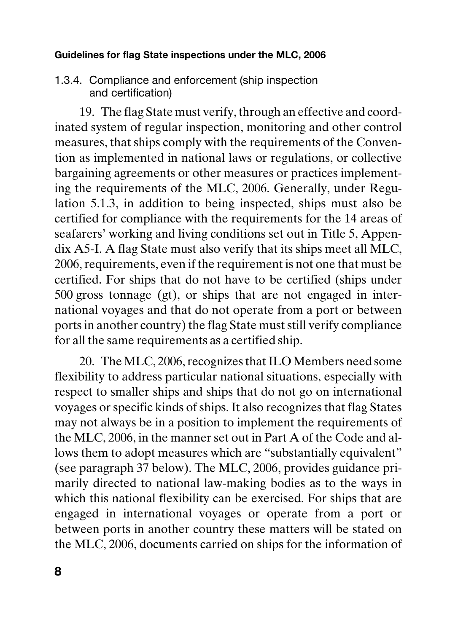1.3.4. Compliance and enforcement (ship inspection and certification)

19. The flag State must verify, through an effective and coordinated system of regular inspection, monitoring and other control measures, that ships comply with the requirements of the Convention as implemented in national laws or regulations, or collective bargaining agreements or other measures or practices implementing the requirements of the MLC, 2006. Generally, under Regulation 5.1.3, in addition to being inspected, ships must also be certified for compliance with the requirements for the 14 areas of seafarers' working and living conditions set out in Title 5, Appendix A5-I. A flag State must also verify that its ships meet all MLC, 2006, requirements, even if the requirement is not one that must be certified. For ships that do not have to be certified (ships under 500 gross tonnage (gt), or ships that are not engaged in international voyages and that do not operate from a port or between ports in another country) the flag State must still verify compliance for all the same requirements as a certified ship.

20. The MLC, 2006, recognizes that ILO Members need some flexibility to address particular national situations, especially with respect to smaller ships and ships that do not go on international voyages or specific kinds of ships. It also recognizes that flag States may not always be in a position to implement the requirements of the MLC, 2006, in the manner set out in Part A of the Code and allows them to adopt measures which are "substantially equivalent" (see paragraph 37 below). The MLC, 2006, provides guidance primarily directed to national law-making bodies as to the ways in which this national flexibility can be exercised. For ships that are engaged in international voyages or operate from a port or between ports in another country these matters will be stated on the MLC, 2006, documents carried on ships for the information of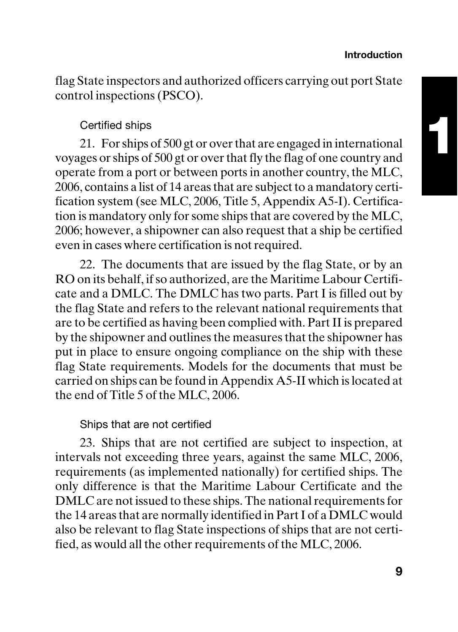flag State inspectors and authorized officers carrying out port State control inspections (PSCO).

#### Certified ships

21. For ships of 500 gt or over that are engaged in international voyages or ships of 500 gt or over that fly the flag of one country and operate from a port or between ports in another country, the MLC, 2006, contains a list of 14 areas that are subject to a mandatory certification system (see MLC, 2006, Title 5, Appendix A5-I). Certification is mandatory only for some ships that are covered by the MLC, 2006; however, a shipowner can also request that a ship be certified even in cases where certification is not required.

22. The documents that are issued by the flag State, or by an RO on its behalf, if so authorized, are the Maritime Labour Certificate and a DMLC. The DMLC has two parts. Part I is filled out by the flag State and refers to the relevant national requirements that are to be certified as having been complied with. Part II is prepared by the shipowner and outlines the measures that the shipowner has put in place to ensure ongoing compliance on the ship with these flag State requirements. Models for the documents that must be carried on ships can be found in Appendix A5-II which is located at the end of Title 5 of the MLC, 2006.

#### Ships that are not certified

23. Ships that are not certified are subject to inspection, at intervals not exceeding three years, against the same MLC, 2006, requirements (as implemented nationally) for certified ships. The only difference is that the Maritime Labour Certificate and the DMLC are not issued to these ships. The national requirements for the 14 areas that are normally identified in Part I of a DMLC would also be relevant to flag State inspections of ships that are not certified, as would all the other requirements of the MLC, 2006.

**1**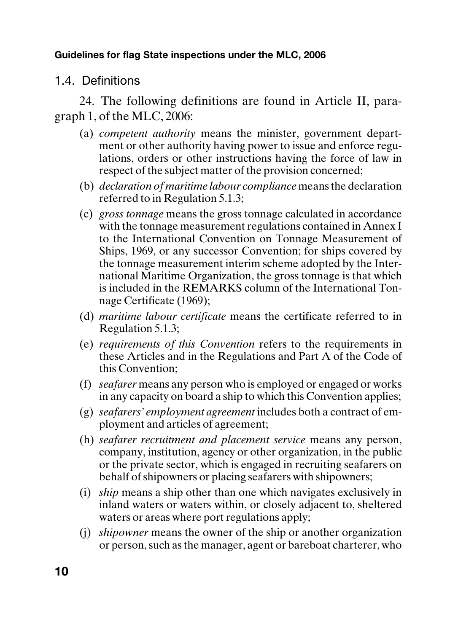1.4. Definitions

24. The following definitions are found in Article II, paragraph 1, of the MLC, 2006:

- (a) *competent authority* means the minister, government department or other authority having power to issue and enforce regulations, orders or other instructions having the force of law in respect of the subject matter of the provision concerned;
- (b) *declaration of maritime labour compliance* means the declaration referred to in Regulation 5.1.3;
- (c) *gross tonnage* means the gross tonnage calculated in accordance with the tonnage measurement regulations contained in Annex I to the International Convention on Tonnage Measurement of Ships, 1969, or any successor Convention; for ships covered by the tonnage measurement interim scheme adopted by the International Maritime Organization, the gross tonnage is that which is included in the REMARKS column of the International Tonnage Certificate (1969);
- (d) *maritime labour certificate* means the certificate referred to in Regulation 5.1.3;
- (e) *requirements of this Convention* refers to the requirements in these Articles and in the Regulations and Part A of the Code of this Convention;
- (f) *seafarer* means any person who is employed or engaged or works in any capacity on board a ship to which this Convention applies;
- (g) *seafarers' employment agreement* includes both a contract of employment and articles of agreement;
- (h) *seafarer recruitment and placement service* means any person, company, institution, agency or other organization, in the public or the private sector, which is engaged in recruiting seafarers on behalf of shipowners or placing seafarers with shipowners;
- (i) *ship* means a ship other than one which navigates exclusively in inland waters or waters within, or closely adjacent to, sheltered waters or areas where port regulations apply;
- (j) *shipowner* means the owner of the ship or another organization or person, such as the manager, agent or bareboat charterer, who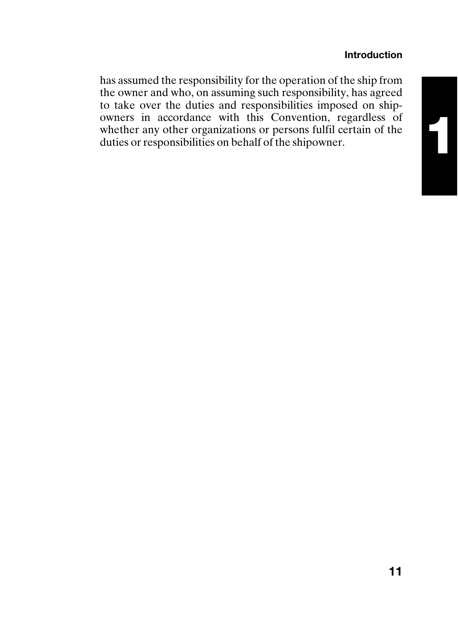#### **Introduction**

**1**

has assumed the responsibility for the operation of the ship from the owner and who, on assuming such responsibility, has agreed to take over the duties and responsibilities imposed on shipowners in accordance with this Convention, regardless of whether any other organizations or persons fulfil certain of the duties or responsibilities on behalf of the shipowner.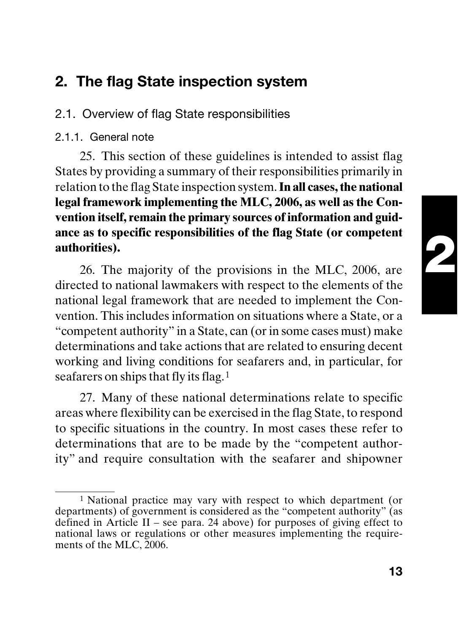# **2**

# **2. The flag State inspection system**

2.1. Overview of flag State responsibilities

#### 2.1.1. General note

25. This section of these guidelines is intended to assist flag States by providing a summary of their responsibilities primarily in relation to the flag State inspection system. **In all cases, the national legal framework implementing the MLC, 2006, as well as the Convention itself, remain the primary sources of information and guidance as to specific responsibilities of the flag State (or competent authorities).**

26. The majority of the provisions in the MLC, 2006, are directed to national lawmakers with respect to the elements of the national legal framework that are needed to implement the Convention. This includes information on situations where a State, or a "competent authority" in a State, can (or in some cases must) make determinations and take actions that are related to ensuring decent working and living conditions for seafarers and, in particular, for seafarers on ships that fly its flag.<sup>1</sup>

27. Many of these national determinations relate to specific areas where flexibility can be exercised in the flag State, to respond to specific situations in the country. In most cases these refer to determinations that are to be made by the "competent authority" and require consultation with the seafarer and shipowner

<sup>1</sup> National practice may vary with respect to which department (or departments) of government is considered as the "competent authority" (as defined in Article II – see para. 24 above) for purposes of giving effect to national laws or regulations or other measures implementing the requirements of the MLC, 2006.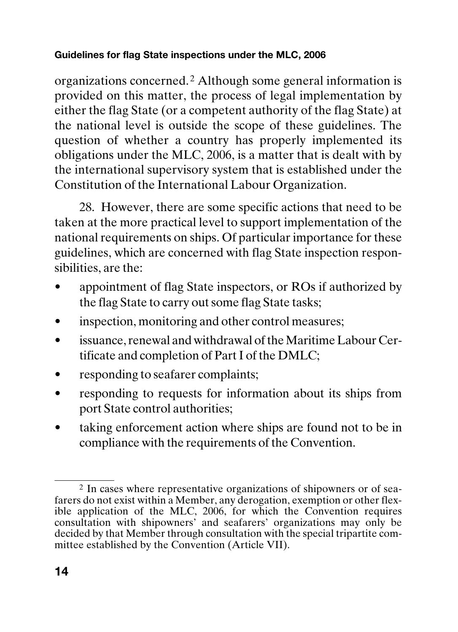organizations concerned. 2 Although some general information is provided on this matter, the process of legal implementation by either the flag State (or a competent authority of the flag State) at the national level is outside the scope of these guidelines. The question of whether a country has properly implemented its obligations under the MLC, 2006, is a matter that is dealt with by the international supervisory system that is established under the Constitution of the International Labour Organization.

28. However, there are some specific actions that need to be taken at the more practical level to support implementation of the national requirements on ships. Of particular importance for these guidelines, which are concerned with flag State inspection responsibilities, are the:

- appointment of flag State inspectors, or ROs if authorized by the flag State to carry out some flag State tasks;
- inspection, monitoring and other control measures;
- issuance, renewal and withdrawal of the Maritime Labour Certificate and completion of Part I of the DMLC;
- responding to seafarer complaints;
- responding to requests for information about its ships from port State control authorities;
- taking enforcement action where ships are found not to be in compliance with the requirements of the Convention.

<sup>2</sup> In cases where representative organizations of shipowners or of seafarers do not exist within a Member, any derogation, exemption or other flexible application of the MLC, 2006, for which the Convention requires consultation with shipowners' and seafarers' organizations may only be decided by that Member through consultation with the special tripartite committee established by the Convention (Article VII).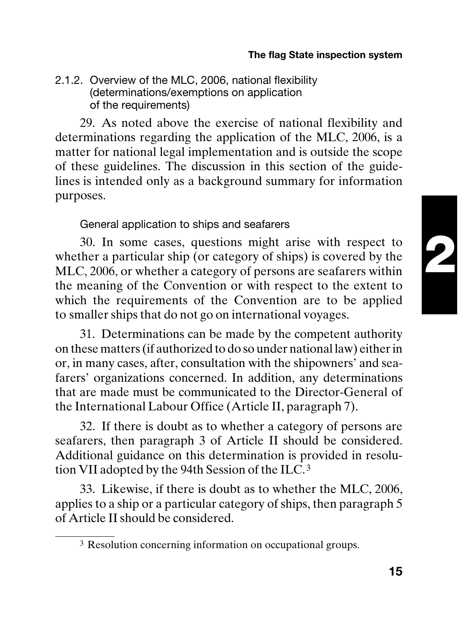#### **The flag State inspection system**

#### 2.1.2. Overview of the MLC, 2006, national flexibility (determinations/exemptions on application of the requirements)

29. As noted above the exercise of national flexibility and determinations regarding the application of the MLC, 2006, is a matter for national legal implementation and is outside the scope of these guidelines. The discussion in this section of the guidelines is intended only as a background summary for information purposes.

#### General application to ships and seafarers

30. In some cases, questions might arise with respect to whether a particular ship (or category of ships) is covered by the MLC, 2006, or whether a category of persons are seafarers within the meaning of the Convention or with respect to the extent to which the requirements of the Convention are to be applied to smaller ships that do not go on international voyages.

31. Determinations can be made by the competent authority on these matters (if authorized to do so under national law) either in or, in many cases, after, consultation with the shipowners' and seafarers' organizations concerned. In addition, any determinations that are made must be communicated to the Director-General of the International Labour Office (Article II, paragraph 7).

32. If there is doubt as to whether a category of persons are seafarers, then paragraph 3 of Article II should be considered. Additional guidance on this determination is provided in resolution VII adopted by the 94th Session of the ILC. <sup>3</sup>

33. Likewise, if there is doubt as to whether the MLC, 2006, applies to a ship or a particular category of ships, then paragraph 5 of Article II should be considered.

<sup>3</sup> Resolution concerning information on occupational groups.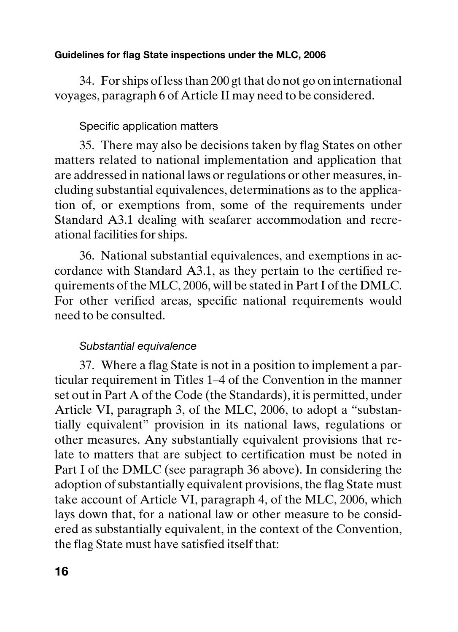34. For ships of less than 200 gt that do not go on international voyages, paragraph 6 of Article II may need to be considered.

#### Specific application matters

35. There may also be decisions taken by flag States on other matters related to national implementation and application that are addressed in national laws or regulations or other measures, including substantial equivalences, determinations as to the application of, or exemptions from, some of the requirements under Standard A3.1 dealing with seafarer accommodation and recreational facilities for ships.

36. National substantial equivalences, and exemptions in accordance with Standard A3.1, as they pertain to the certified requirements of the MLC, 2006, will be stated in Part I of the DMLC. For other verified areas, specific national requirements would need to be consulted.

#### Substantial equivalence

37. Where a flag State is not in a position to implement a particular requirement in Titles 1–4 of the Convention in the manner set out in Part A of the Code (the Standards), it is permitted, under Article VI, paragraph 3, of the MLC, 2006, to adopt a "substantially equivalent" provision in its national laws, regulations or other measures. Any substantially equivalent provisions that relate to matters that are subject to certification must be noted in Part I of the DMLC (see paragraph 36 above). In considering the adoption of substantially equivalent provisions, the flag State must take account of Article VI, paragraph 4, of the MLC, 2006, which lays down that, for a national law or other measure to be considered as substantially equivalent, in the context of the Convention, the flag State must have satisfied itself that: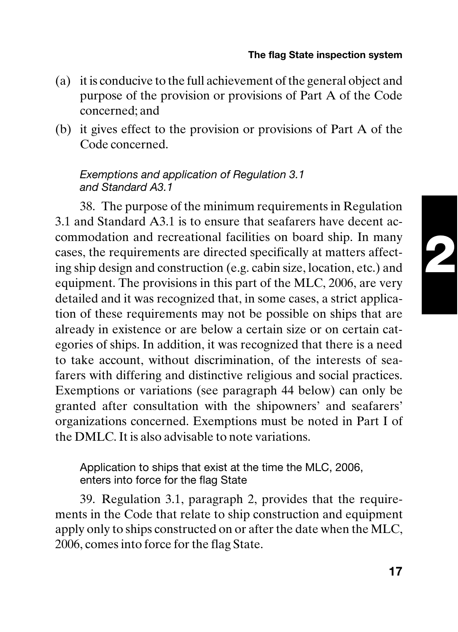- (a) it is conducive to the full achievement of the general object and purpose of the provision or provisions of Part A of the Code concerned; and
- (b) it gives effect to the provision or provisions of Part A of the Code concerned.

#### Exemptions and application of Regulation 3.1 and Standard A3.1

38. The purpose of the minimum requirements in Regulation 3.1 and Standard A3.1 is to ensure that seafarers have decent accommodation and recreational facilities on board ship. In many cases, the requirements are directed specifically at matters affecting ship design and construction (e.g. cabin size, location, etc.) and equipment. The provisions in this part of the MLC, 2006, are very detailed and it was recognized that, in some cases, a strict application of these requirements may not be possible on ships that are already in existence or are below a certain size or on certain categories of ships. In addition, it was recognized that there is a need to take account, without discrimination, of the interests of seafarers with differing and distinctive religious and social practices. Exemptions or variations (see paragraph 44 below) can only be granted after consultation with the shipowners' and seafarers' organizations concerned. Exemptions must be noted in Part I of the DMLC. It is also advisable to note variations.

Application to ships that exist at the time the MLC, 2006, enters into force for the flag State

39. Regulation 3.1, paragraph 2, provides that the requirements in the Code that relate to ship construction and equipment apply only to ships constructed on or after the date when the MLC, 2006, comes into force for the flag State.

**2**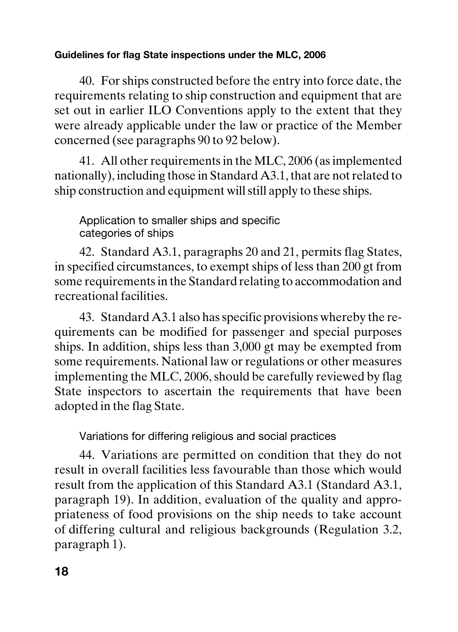40. For ships constructed before the entry into force date, the requirements relating to ship construction and equipment that are set out in earlier ILO Conventions apply to the extent that they were already applicable under the law or practice of the Member concerned (see paragraphs 90 to 92 below).

41. All other requirements in the MLC, 2006 (as implemented nationally), including those in Standard A3.1, that are not related to ship construction and equipment will still apply to these ships.

Application to smaller ships and specific categories of ships

42. Standard A3.1, paragraphs 20 and 21, permits flag States, in specified circumstances, to exempt ships of less than 200 gt from some requirements in the Standard relating to accommodation and recreational facilities.

43. Standard A3.1 also has specific provisions whereby the requirements can be modified for passenger and special purposes ships. In addition, ships less than 3,000 gt may be exempted from some requirements. National law or regulations or other measures implementing the MLC, 2006, should be carefully reviewed by flag State inspectors to ascertain the requirements that have been adopted in the flag State.

Variations for differing religious and social practices

44. Variations are permitted on condition that they do not result in overall facilities less favourable than those which would result from the application of this Standard A3.1 (Standard A3.1, paragraph 19). In addition, evaluation of the quality and appropriateness of food provisions on the ship needs to take account of differing cultural and religious backgrounds (Regulation 3.2, paragraph 1).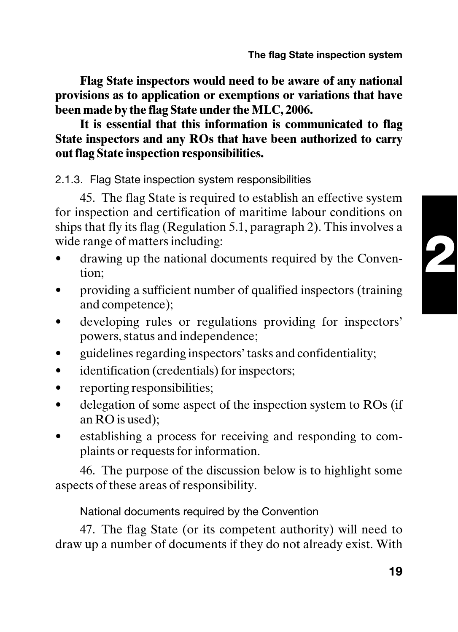**Flag State inspectors would need to be aware of any national provisions as to application or exemptions or variations that have been made by the flag State under the MLC, 2006.**

**It is essential that this information is communicated to flag State inspectors and any ROs that have been authorized to carry out flag State inspection responsibilities.**

2.1.3. Flag State inspection system responsibilities

45. The flag State is required to establish an effective system for inspection and certification of maritime labour conditions on ships that fly its flag (Regulation 5.1, paragraph 2). This involves a wide range of matters including:

- drawing up the national documents required by the Convention;
- providing a sufficient number of qualified inspectors (training and competence);
- developing rules or regulations providing for inspectors' powers, status and independence;
- guidelines regarding inspectors' tasks and confidentiality;
- identification (credentials) for inspectors;
- reporting responsibilities;
- delegation of some aspect of the inspection system to ROs (if an RO is used);
- establishing a process for receiving and responding to complaints or requests for information.

46. The purpose of the discussion below is to highlight some aspects of these areas of responsibility.

National documents required by the Convention

47. The flag State (or its competent authority) will need to draw up a number of documents if they do not already exist. With **2**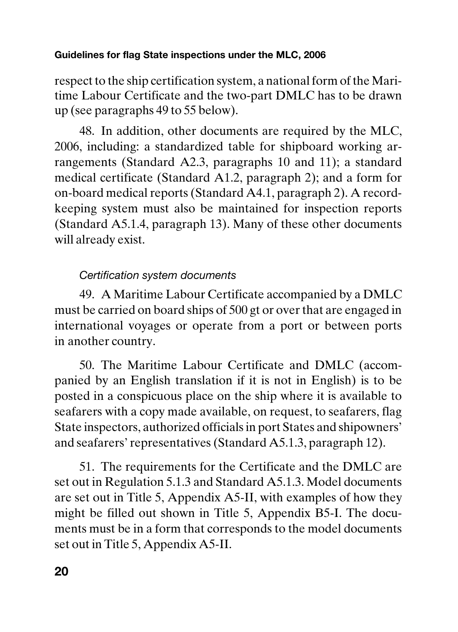respect to the ship certification system, a national form of the Maritime Labour Certificate and the two-part DMLC has to be drawn up (see paragraphs 49 to 55 below).

48. In addition, other documents are required by the MLC, 2006, including: a standardized table for shipboard working arrangements (Standard A2.3, paragraphs 10 and 11); a standard medical certificate (Standard A1.2, paragraph 2); and a form for on-board medical reports (Standard A4.1, paragraph 2). A recordkeeping system must also be maintained for inspection reports (Standard A5.1.4, paragraph 13). Many of these other documents will already exist.

#### Certification system documents

49. A Maritime Labour Certificate accompanied by a DMLC must be carried on board ships of 500 gt or over that are engaged in international voyages or operate from a port or between ports in another country.

50. The Maritime Labour Certificate and DMLC (accompanied by an English translation if it is not in English) is to be posted in a conspicuous place on the ship where it is available to seafarers with a copy made available, on request, to seafarers, flag State inspectors, authorized officials in port States and shipowners' and seafarers' representatives (Standard A5.1.3, paragraph 12).

51. The requirements for the Certificate and the DMLC are set out in Regulation 5.1.3 and Standard A5.1.3. Model documents are set out in Title 5, Appendix A5-II, with examples of how they might be filled out shown in Title 5, Appendix B5-I. The documents must be in a form that corresponds to the model documents set out in Title 5, Appendix A5-II.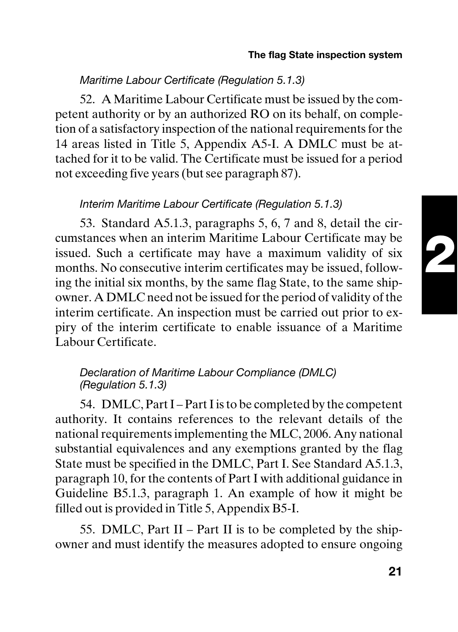#### Maritime Labour Certificate (Regulation 5.1.3)

52. A Maritime Labour Certificate must be issued by the competent authority or by an authorized RO on its behalf, on completion of a satisfactory inspection of the national requirements for the 14 areas listed in Title 5, Appendix A5-I. A DMLC must be attached for it to be valid. The Certificate must be issued for a period not exceeding five years (but see paragraph 87).

#### Interim Maritime Labour Certificate (Regulation 5.1.3)

53. Standard A5.1.3, paragraphs 5, 6, 7 and 8, detail the circumstances when an interim Maritime Labour Certificate may be issued. Such a certificate may have a maximum validity of six months. No consecutive interim certificates may be issued, following the initial six months, by the same flag State, to the same shipowner. A DMLC need not be issued for the period of validity of the interim certificate. An inspection must be carried out prior to expiry of the interim certificate to enable issuance of a Maritime Labour Certificate.

#### Declaration of Maritime Labour Compliance (DMLC) (Regulation 5.1.3)

54. DMLC, Part I – Part I is to be completed by the competent authority. It contains references to the relevant details of the national requirements implementing the MLC, 2006. Any national substantial equivalences and any exemptions granted by the flag State must be specified in the DMLC, Part I. See Standard A5.1.3, paragraph 10, for the contents of Part I with additional guidance in Guideline B5.1.3, paragraph 1. An example of how it might be filled out is provided in Title 5, Appendix B5-I.

55. DMLC, Part II – Part II is to be completed by the shipowner and must identify the measures adopted to ensure ongoing **2**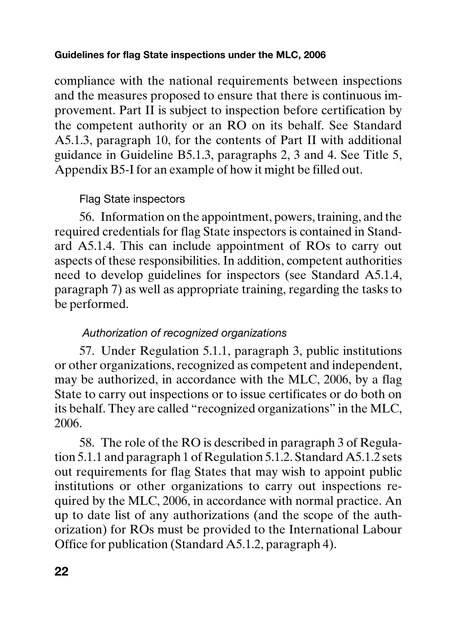compliance with the national requirements between inspections and the measures proposed to ensure that there is continuous improvement. Part II is subject to inspection before certification by the competent authority or an RO on its behalf. See Standard A5.1.3, paragraph 10, for the contents of Part II with additional guidance in Guideline B5.1.3, paragraphs 2, 3 and 4. See Title 5, Appendix B5-I for an example of how it might be filled out.

#### Flag State inspectors

56. Information on the appointment, powers, training, and the required credentials for flag State inspectors is contained in Standard A5.1.4. This can include appointment of ROs to carry out aspects of these responsibilities. In addition, competent authorities need to develop guidelines for inspectors (see Standard A5.1.4, paragraph 7) as well as appropriate training, regarding the tasks to be performed.

#### Authorization of recognized organizations

57. Under Regulation 5.1.1, paragraph 3, public institutions or other organizations, recognized as competent and independent, may be authorized, in accordance with the MLC, 2006, by a flag State to carry out inspections or to issue certificates or do both on its behalf. They are called "recognized organizations" in the MLC, 2006.

58. The role of the RO is described in paragraph 3 of Regulation 5.1.1 and paragraph 1 of Regulation 5.1.2. Standard A5.1.2 sets out requirements for flag States that may wish to appoint public institutions or other organizations to carry out inspections required by the MLC, 2006, in accordance with normal practice. An up to date list of any authorizations (and the scope of the authorization) for ROs must be provided to the International Labour Office for publication (Standard A5.1.2, paragraph 4).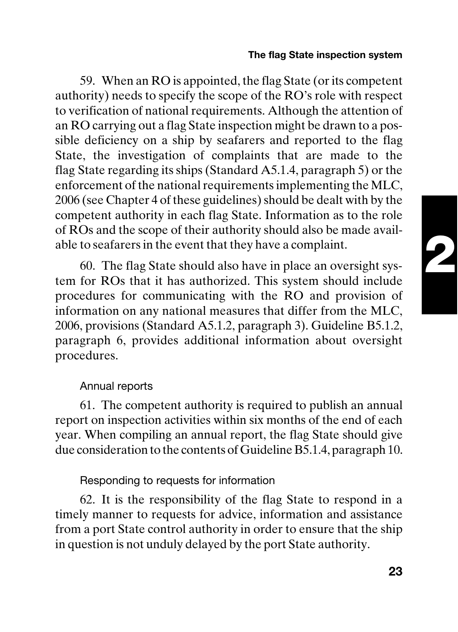#### **The flag State inspection system**

59. When an RO is appointed, the flag State (or its competent authority) needs to specify the scope of the RO's role with respect to verification of national requirements. Although the attention of an RO carrying out a flag State inspection might be drawn to a possible deficiency on a ship by seafarers and reported to the flag State, the investigation of complaints that are made to the flag State regarding its ships (Standard A5.1.4, paragraph 5) or the enforcement of the national requirements implementing the MLC, 2006 (see Chapter 4 of these guidelines) should be dealt with by the competent authority in each flag State. Information as to the role of ROs and the scope of their authority should also be made available to seafarers in the event that they have a complaint.

60. The flag State should also have in place an oversight system for ROs that it has authorized. This system should include procedures for communicating with the RO and provision of information on any national measures that differ from the MLC, 2006, provisions (Standard A5.1.2, paragraph 3). Guideline B5.1.2, paragraph 6, provides additional information about oversight procedures.

#### Annual reports

61. The competent authority is required to publish an annual report on inspection activities within six months of the end of each year. When compiling an annual report, the flag State should give due consideration to the contents of Guideline B5.1.4, paragraph 10.

#### Responding to requests for information

62. It is the responsibility of the flag State to respond in a timely manner to requests for advice, information and assistance from a port State control authority in order to ensure that the ship in question is not unduly delayed by the port State authority.

**2**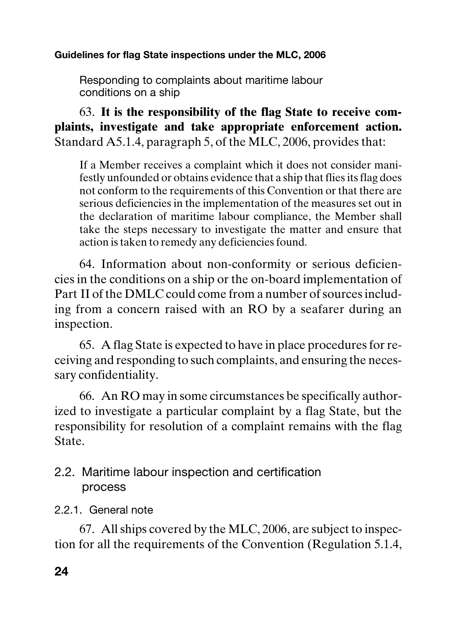Responding to complaints about maritime labour conditions on a ship

63. **It is the responsibility of the flag State to receive complaints, investigate and take appropriate enforcement action.** Standard A5.1.4, paragraph 5, of the MLC, 2006, provides that:

If a Member receives a complaint which it does not consider manifestly unfounded or obtains evidence that a ship that flies its flag does not conform to the requirements of this Convention or that there are serious deficiencies in the implementation of the measures set out in the declaration of maritime labour compliance, the Member shall take the steps necessary to investigate the matter and ensure that action is taken to remedy any deficiencies found.

64. Information about non-conformity or serious deficiencies in the conditions on a ship or the on-board implementation of Part II of the DMLC could come from a number of sources including from a concern raised with an RO by a seafarer during an inspection.

65. A flag State is expected to have in place procedures for receiving and responding to such complaints, and ensuring the necessary confidentiality.

66. An RO may in some circumstances be specifically authorized to investigate a particular complaint by a flag State, but the responsibility for resolution of a complaint remains with the flag State.

#### 2.2. Maritime labour inspection and certification process

2.2.1. General note

67. All ships covered by the MLC, 2006, are subject to inspection for all the requirements of the Convention (Regulation 5.1.4,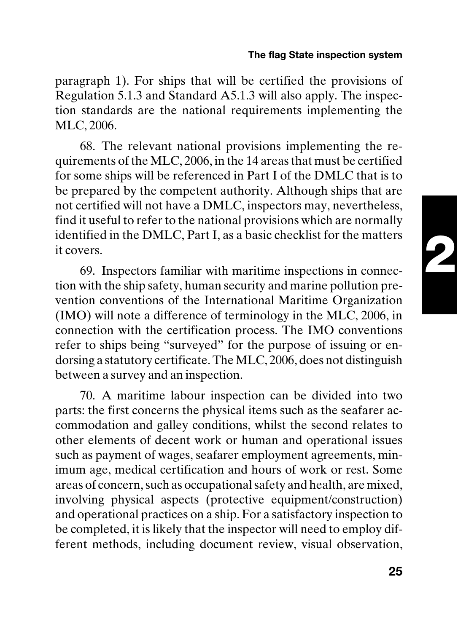#### **The flag State inspection system**

paragraph 1). For ships that will be certified the provisions of Regulation 5.1.3 and Standard A5.1.3 will also apply. The inspection standards are the national requirements implementing the MLC, 2006.

68. The relevant national provisions implementing the requirements of the MLC, 2006, in the 14 areas that must be certified for some ships will be referenced in Part I of the DMLC that is to be prepared by the competent authority. Although ships that are not certified will not have a DMLC, inspectors may, nevertheless, find it useful to refer to the national provisions which are normally identified in the DMLC, Part I, as a basic checklist for the matters it covers.

69. Inspectors familiar with maritime inspections in connection with the ship safety, human security and marine pollution prevention conventions of the International Maritime Organization (IMO) will note a difference of terminology in the MLC, 2006, in connection with the certification process. The IMO conventions refer to ships being "surveyed" for the purpose of issuing or endorsing a statutory certificate. The MLC, 2006, does not distinguish between a survey and an inspection.

70. A maritime labour inspection can be divided into two parts: the first concerns the physical items such as the seafarer accommodation and galley conditions, whilst the second relates to other elements of decent work or human and operational issues such as payment of wages, seafarer employment agreements, minimum age, medical certification and hours of work or rest. Some areas of concern, such as occupational safety and health, are mixed, involving physical aspects (protective equipment/construction) and operational practices on a ship. For a satisfactory inspection to be completed, it is likely that the inspector will need to employ different methods, including document review, visual observation,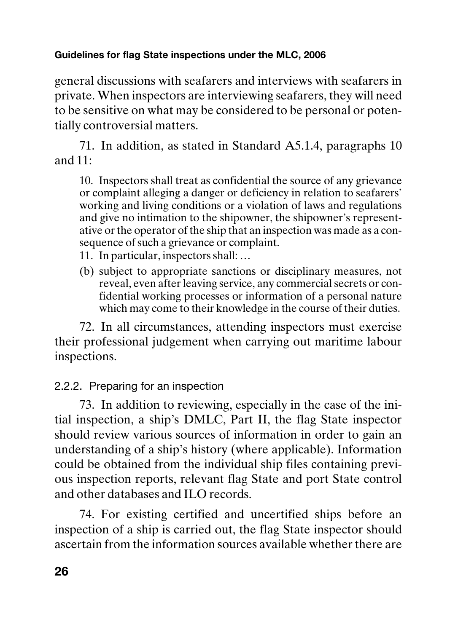general discussions with seafarers and interviews with seafarers in private. When inspectors are interviewing seafarers, they will need to be sensitive on what may be considered to be personal or potentially controversial matters.

71. In addition, as stated in Standard A5.1.4, paragraphs 10 and 11:

10. Inspectors shall treat as confidential the source of any grievance or complaint alleging a danger or deficiency in relation to seafarers' working and living conditions or a violation of laws and regulations and give no intimation to the shipowner, the shipowner's representative or the operator of the ship that an inspection was made as a consequence of such a grievance or complaint.

- 11. In particular, inspectors shall: …
- (b) subject to appropriate sanctions or disciplinary measures, not reveal, even after leaving service, any commercial secrets or confidential working processes or information of a personal nature which may come to their knowledge in the course of their duties.

72. In all circumstances, attending inspectors must exercise their professional judgement when carrying out maritime labour inspections.

#### 2.2.2. Preparing for an inspection

73. In addition to reviewing, especially in the case of the initial inspection, a ship's DMLC, Part II, the flag State inspector should review various sources of information in order to gain an understanding of a ship's history (where applicable). Information could be obtained from the individual ship files containing previous inspection reports, relevant flag State and port State control and other databases and ILO records.

74. For existing certified and uncertified ships before an inspection of a ship is carried out, the flag State inspector should ascertain from the information sources available whether there are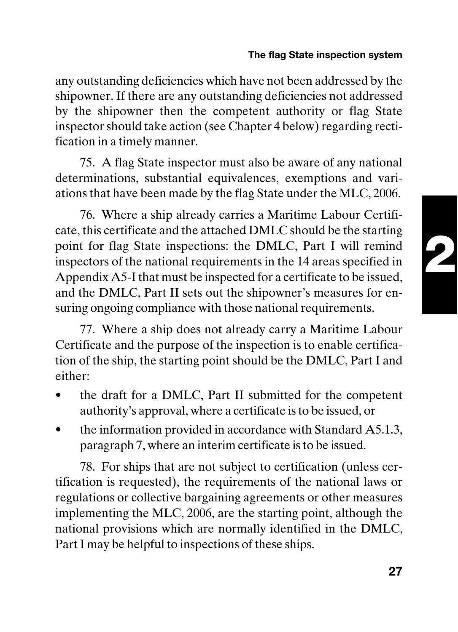#### **The flag State inspection system**

any outstanding deficiencies which have not been addressed by the shipowner. If there are any outstanding deficiencies not addressed by the shipowner then the competent authority or flag State inspector should take action (see Chapter 4 below) regarding rectification in a timely manner.

75. A flag State inspector must also be aware of any national determinations, substantial equivalences, exemptions and variations that have been made by the flag State under the MLC, 2006.

76. Where a ship already carries a Maritime Labour Certificate, this certificate and the attached DMLC should be the starting point for flag State inspections: the DMLC, Part I will remind inspectors of the national requirements in the 14 areas specified in Appendix A5-I that must be inspected for a certificate to be issued, and the DMLC, Part II sets out the shipowner's measures for ensuring ongoing compliance with those national requirements.

77. Where a ship does not already carry a Maritime Labour Certificate and the purpose of the inspection is to enable certification of the ship, the starting point should be the DMLC, Part I and either:

- the draft for a DMLC, Part II submitted for the competent authority's approval, where a certificate is to be issued, or
- the information provided in accordance with Standard A5.1.3, paragraph 7, where an interim certificate is to be issued.

78. For ships that are not subject to certification (unless certification is requested), the requirements of the national laws or regulations or collective bargaining agreements or other measures implementing the MLC, 2006, are the starting point, although the national provisions which are normally identified in the DMLC, Part I may be helpful to inspections of these ships.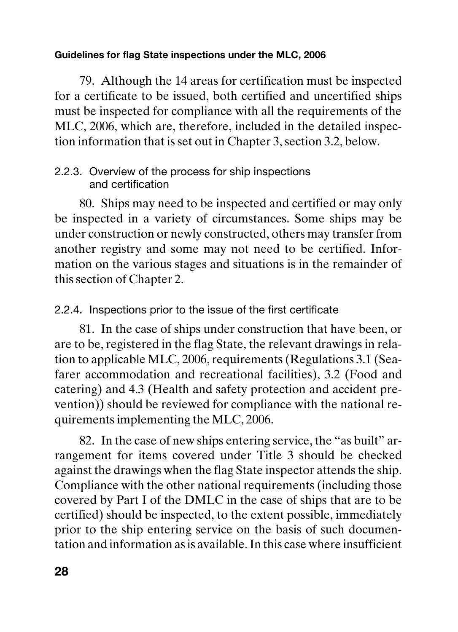79. Although the 14 areas for certification must be inspected for a certificate to be issued, both certified and uncertified ships must be inspected for compliance with all the requirements of the MLC, 2006, which are, therefore, included in the detailed inspection information that is set out in Chapter 3, section 3.2, below.

#### 2.2.3. Overview of the process for ship inspections and certification

80. Ships may need to be inspected and certified or may only be inspected in a variety of circumstances. Some ships may be under construction or newly constructed, others may transfer from another registry and some may not need to be certified. Information on the various stages and situations is in the remainder of this section of Chapter 2.

2.2.4. Inspections prior to the issue of the first certificate

81. In the case of ships under construction that have been, or are to be, registered in the flag State, the relevant drawings in relation to applicable MLC, 2006, requirements (Regulations 3.1 (Seafarer accommodation and recreational facilities), 3.2 (Food and catering) and 4.3 (Health and safety protection and accident prevention)) should be reviewed for compliance with the national requirements implementing the MLC, 2006.

82. In the case of new ships entering service, the "as built" arrangement for items covered under Title 3 should be checked against the drawings when the flag State inspector attends the ship. Compliance with the other national requirements (including those covered by Part I of the DMLC in the case of ships that are to be certified) should be inspected, to the extent possible, immediately prior to the ship entering service on the basis of such documentation and information as is available. In this case where insufficient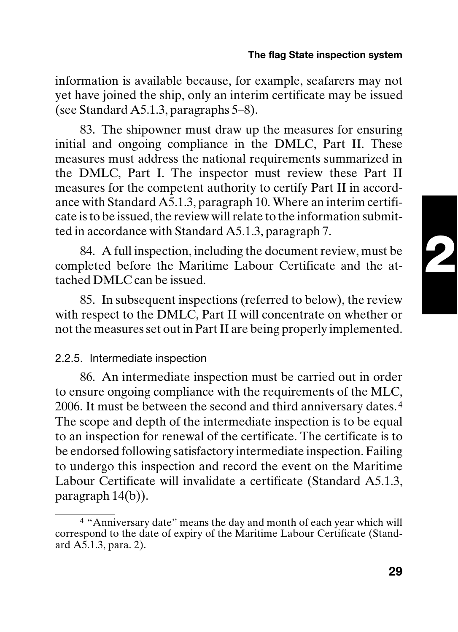#### **The flag State inspection system**

information is available because, for example, seafarers may not yet have joined the ship, only an interim certificate may be issued (see Standard A5.1.3, paragraphs 5–8).

83. The shipowner must draw up the measures for ensuring initial and ongoing compliance in the DMLC, Part II. These measures must address the national requirements summarized in the DMLC, Part I. The inspector must review these Part II measures for the competent authority to certify Part II in accordance with Standard A5.1.3, paragraph 10. Where an interim certificate is to be issued, the review will relate to the information submitted in accordance with Standard A5.1.3, paragraph 7.

84. A full inspection, including the document review, must be completed before the Maritime Labour Certificate and the attached DMLC can be issued.

85. In subsequent inspections (referred to below), the review with respect to the DMLC, Part II will concentrate on whether or not the measures set out in Part II are being properly implemented.

#### 2.2.5. Intermediate inspection

86. An intermediate inspection must be carried out in order to ensure ongoing compliance with the requirements of the MLC, 2006. It must be between the second and third anniversary dates. <sup>4</sup> The scope and depth of the intermediate inspection is to be equal to an inspection for renewal of the certificate. The certificate is to be endorsed following satisfactory intermediate inspection. Failing to undergo this inspection and record the event on the Maritime Labour Certificate will invalidate a certificate (Standard A5.1.3, paragraph 14(b)).

**29**

<sup>4</sup> "Anniversary date" means the day and month of each year which will correspond to the date of expiry of the Maritime Labour Certificate (Standard  $A\bar{5}$ .1.3, para. 2).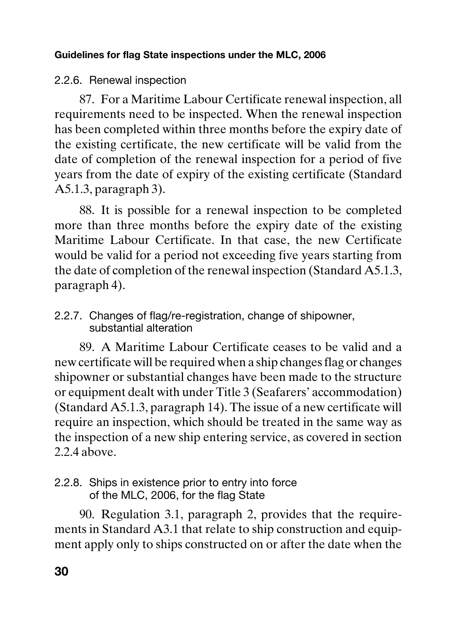#### 2.2.6. Renewal inspection

87. For a Maritime Labour Certificate renewal inspection, all requirements need to be inspected. When the renewal inspection has been completed within three months before the expiry date of the existing certificate, the new certificate will be valid from the date of completion of the renewal inspection for a period of five years from the date of expiry of the existing certificate (Standard A5.1.3, paragraph 3).

88. It is possible for a renewal inspection to be completed more than three months before the expiry date of the existing Maritime Labour Certificate. In that case, the new Certificate would be valid for a period not exceeding five years starting from the date of completion of the renewal inspection (Standard A5.1.3, paragraph 4).

2.2.7. Changes of flag/re-registration, change of shipowner, substantial alteration

89. A Maritime Labour Certificate ceases to be valid and a new certificate will be required when a ship changes flag or changes shipowner or substantial changes have been made to the structure or equipment dealt with under Title 3 (Seafarers' accommodation) (Standard A5.1.3, paragraph 14). The issue of a new certificate will require an inspection, which should be treated in the same way as the inspection of a new ship entering service, as covered in section 2.2.4 above.

#### 2.2.8. Ships in existence prior to entry into force of the MLC, 2006, for the flag State

90. Regulation 3.1, paragraph 2, provides that the requirements in Standard A3.1 that relate to ship construction and equipment apply only to ships constructed on or after the date when the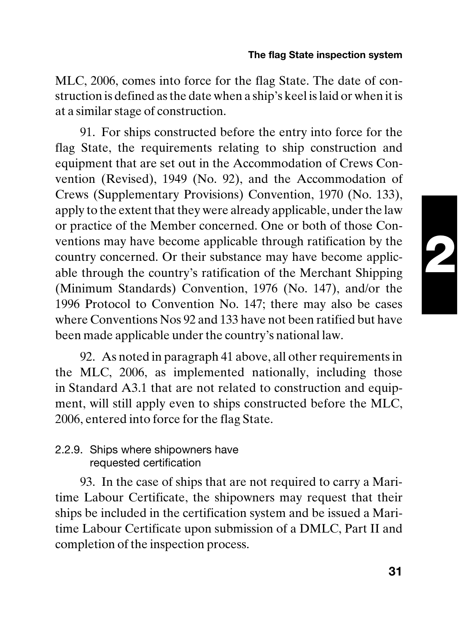#### **The flag State inspection system**

MLC, 2006, comes into force for the flag State. The date of construction is defined as the date when a ship's keel is laid or when it is at a similar stage of construction.

91. For ships constructed before the entry into force for the flag State, the requirements relating to ship construction and equipment that are set out in the Accommodation of Crews Convention (Revised), 1949 (No. 92), and the Accommodation of Crews (Supplementary Provisions) Convention, 1970 (No. 133), apply to the extent that they were already applicable, under the law or practice of the Member concerned. One or both of those Conventions may have become applicable through ratification by the country concerned. Or their substance may have become applicable through the country's ratification of the Merchant Shipping (Minimum Standards) Convention, 1976 (No. 147), and/or the 1996 Protocol to Convention No. 147; there may also be cases where Conventions Nos 92 and 133 have not been ratified but have been made applicable under the country's national law.

92. As noted in paragraph 41 above, all other requirements in the MLC, 2006, as implemented nationally, including those in Standard A3.1 that are not related to construction and equipment, will still apply even to ships constructed before the MLC, 2006, entered into force for the flag State.

#### 2.2.9. Ships where shipowners have requested certification

93. In the case of ships that are not required to carry a Maritime Labour Certificate, the shipowners may request that their ships be included in the certification system and be issued a Maritime Labour Certificate upon submission of a DMLC, Part II and completion of the inspection process.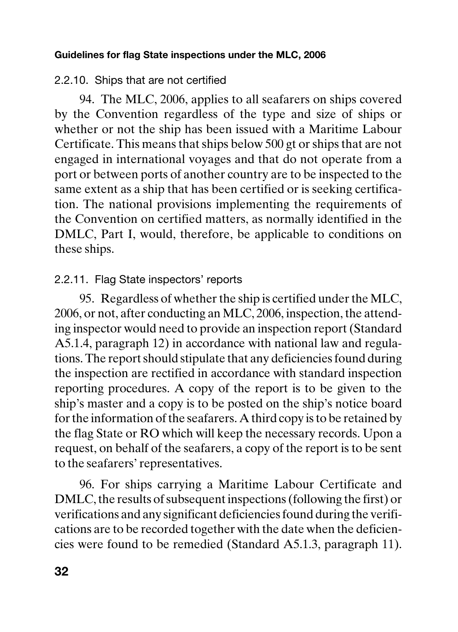#### 2.2.10. Ships that are not certified

94. The MLC, 2006, applies to all seafarers on ships covered by the Convention regardless of the type and size of ships or whether or not the ship has been issued with a Maritime Labour Certificate. This means that ships below 500 gt or ships that are not engaged in international voyages and that do not operate from a port or between ports of another country are to be inspected to the same extent as a ship that has been certified or is seeking certification. The national provisions implementing the requirements of the Convention on certified matters, as normally identified in the DMLC, Part I, would, therefore, be applicable to conditions on these ships.

#### 2.2.11. Flag State inspectors' reports

95. Regardless of whether the ship is certified under the MLC, 2006, or not, after conducting an MLC, 2006, inspection, the attending inspector would need to provide an inspection report (Standard A5.1.4, paragraph 12) in accordance with national law and regulations. The report should stipulate that any deficiencies found during the inspection are rectified in accordance with standard inspection reporting procedures. A copy of the report is to be given to the ship's master and a copy is to be posted on the ship's notice board for the information of the seafarers. A third copy is to be retained by the flag State or RO which will keep the necessary records. Upon a request, on behalf of the seafarers, a copy of the report is to be sent to the seafarers' representatives.

96. For ships carrying a Maritime Labour Certificate and DMLC, the results of subsequent inspections (following the first) or verifications and any significant deficiencies found during the verifications are to be recorded together with the date when the deficiencies were found to be remedied (Standard A5.1.3, paragraph 11).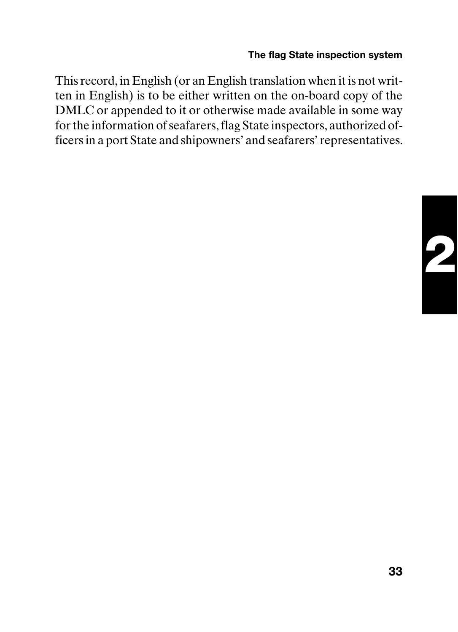#### **The flag State inspection system**

This record, in English (or an English translation when it is not written in English) is to be either written on the on-board copy of the DMLC or appended to it or otherwise made available in some way for the information of seafarers, flag State inspectors, authorized officers in a port State and shipowners' and seafarers' representatives.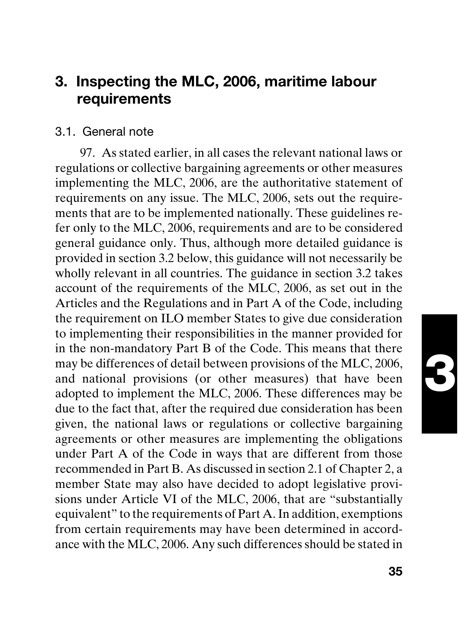## **3**

#### **3. Inspecting the MLC, 2006, maritime labour requirements**

#### 3.1. General note

97. As stated earlier, in all cases the relevant national laws or regulations or collective bargaining agreements or other measures implementing the MLC, 2006, are the authoritative statement of requirements on any issue. The MLC, 2006, sets out the requirements that are to be implemented nationally. These guidelines refer only to the MLC, 2006, requirements and are to be considered general guidance only. Thus, although more detailed guidance is provided in section 3.2 below, this guidance will not necessarily be wholly relevant in all countries. The guidance in section 3.2 takes account of the requirements of the MLC, 2006, as set out in the Articles and the Regulations and in Part A of the Code, including the requirement on ILO member States to give due consideration to implementing their responsibilities in the manner provided for in the non-mandatory Part B of the Code. This means that there may be differences of detail between provisions of the MLC, 2006, and national provisions (or other measures) that have been adopted to implement the MLC, 2006. These differences may be due to the fact that, after the required due consideration has been given, the national laws or regulations or collective bargaining agreements or other measures are implementing the obligations under Part A of the Code in ways that are different from those recommended in Part B. As discussed in section 2.1 of Chapter 2, a member State may also have decided to adopt legislative provisions under Article VI of the MLC, 2006, that are "substantially equivalent" to the requirements of Part A. In addition, exemptions from certain requirements may have been determined in accordance with the MLC, 2006. Any such differences should be stated in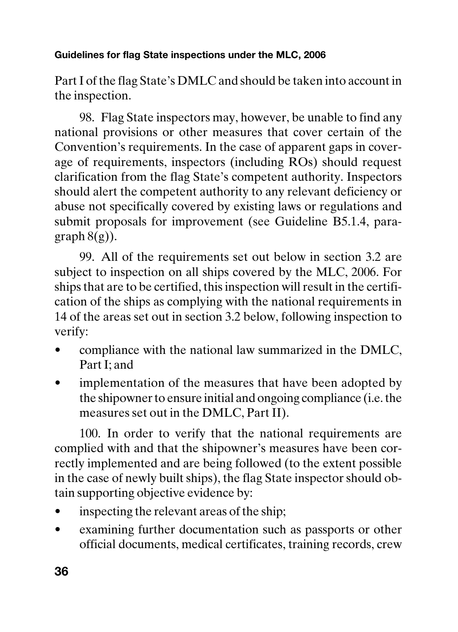Part I of the flag State's DMLC and should be taken into account in the inspection.

98. Flag State inspectors may, however, be unable to find any national provisions or other measures that cover certain of the Convention's requirements. In the case of apparent gaps in coverage of requirements, inspectors (including ROs) should request clarification from the flag State's competent authority. Inspectors should alert the competent authority to any relevant deficiency or abuse not specifically covered by existing laws or regulations and submit proposals for improvement (see Guideline B5.1.4, paragraph  $8(g)$ ).

99. All of the requirements set out below in section 3.2 are subject to inspection on all ships covered by the MLC, 2006. For ships that are to be certified, this inspection will result in the certification of the ships as complying with the national requirements in 14 of the areas set out in section 3.2 below, following inspection to verify:

- compliance with the national law summarized in the DMLC, Part I; and
- implementation of the measures that have been adopted by the shipowner to ensure initial and ongoing compliance (i.e. the measures set out in the DMLC, Part II).

100. In order to verify that the national requirements are complied with and that the shipowner's measures have been correctly implemented and are being followed (to the extent possible in the case of newly built ships), the flag State inspector should obtain supporting objective evidence by:

- inspecting the relevant areas of the ship;
- examining further documentation such as passports or other official documents, medical certificates, training records, crew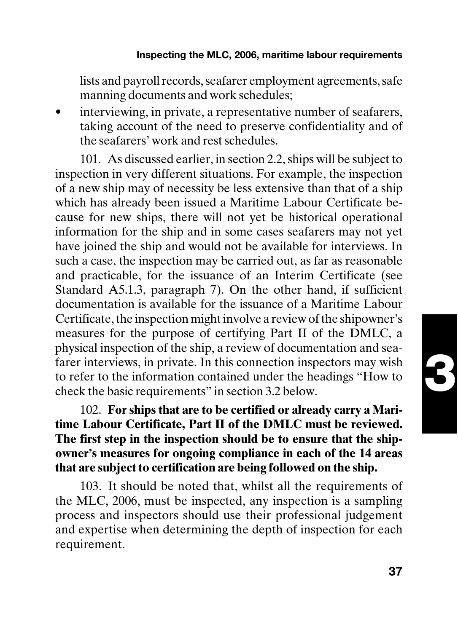#### **Inspecting the MLC, 2006, maritime labour requirements**

lists and payroll records, seafarer employment agreements, safe manning documents and work schedules;

interviewing, in private, a representative number of seafarers, taking account of the need to preserve confidentiality and of the seafarers' work and rest schedules.

101. As discussed earlier, in section 2.2, ships will be subject to inspection in very different situations. For example, the inspection of a new ship may of necessity be less extensive than that of a ship which has already been issued a Maritime Labour Certificate because for new ships, there will not yet be historical operational information for the ship and in some cases seafarers may not yet have joined the ship and would not be available for interviews. In such a case, the inspection may be carried out, as far as reasonable and practicable, for the issuance of an Interim Certificate (see Standard A5.1.3, paragraph 7). On the other hand, if sufficient documentation is available for the issuance of a Maritime Labour Certificate, the inspection might involve a review of the shipowner's measures for the purpose of certifying Part II of the DMLC, a physical inspection of the ship, a review of documentation and seafarer interviews, in private. In this connection inspectors may wish to refer to the information contained under the headings "How to check the basic requirements" in section 3.2 below.

102. **For ships that are to be certified or already carry a Maritime Labour Certificate, Part II of the DMLC must be reviewed. The first step in the inspection should be to ensure that the shipowner's measures for ongoing compliance in each of the 14 areas that are subject to certification are being followed on the ship.**

103. It should be noted that, whilst all the requirements of the MLC, 2006, must be inspected, any inspection is a sampling process and inspectors should use their professional judgement and expertise when determining the depth of inspection for each requirement.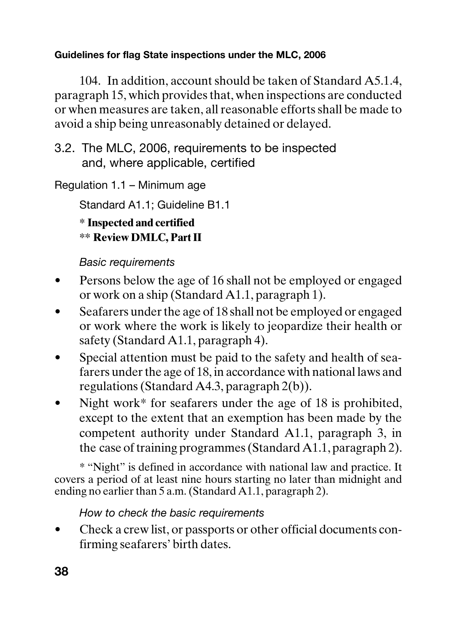104. In addition, account should be taken of Standard A5.1.4, paragraph 15, which provides that, when inspections are conducted or when measures are taken, all reasonable efforts shall be made to avoid a ship being unreasonably detained or delayed.

3.2. The MLC, 2006, requirements to be inspected and, where applicable, certified

Regulation 1.1 – Minimum age

Standard A1.1; Guideline B1.1

**\* Inspected and certified**

**\*\* Review DMLC, Part II**

Basic requirements

- Persons below the age of 16 shall not be employed or engaged or work on a ship (Standard A1.1, paragraph 1).
- Seafarers under the age of 18 shall not be employed or engaged or work where the work is likely to jeopardize their health or safety (Standard A1.1, paragraph 4).
- Special attention must be paid to the safety and health of seafarers under the age of 18, in accordance with national laws and regulations (Standard A4.3, paragraph 2(b)).
- Night work\* for seafarers under the age of  $18$  is prohibited, except to the extent that an exemption has been made by the competent authority under Standard A1.1, paragraph 3, in the case of training programmes (Standard A1.1, paragraph 2).

\* "Night" is defined in accordance with national law and practice. It covers a period of at least nine hours starting no later than midnight and ending no earlier than 5 a.m. (Standard A1.1, paragraph 2).

#### How to check the basic requirements

• Check a crew list, or passports or other official documents confirming seafarers' birth dates.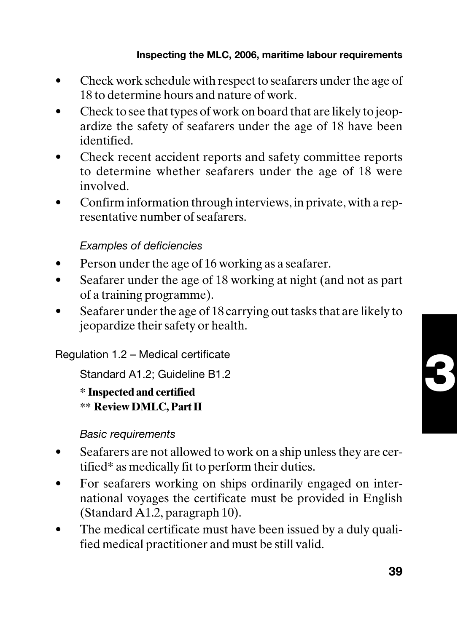- Check work schedule with respect to seafarers under the age of 18 to determine hours and nature of work.
- Check to see that types of work on board that are likely to jeopardize the safety of seafarers under the age of 18 have been identified.
- Check recent accident reports and safety committee reports to determine whether seafarers under the age of 18 were involved.
- Confirm information through interviews, in private, with a representative number of seafarers.

#### Examples of deficiencies

- Person under the age of 16 working as a seafarer.
- Seafarer under the age of 18 working at night (and not as part of a training programme).
- Seafarer under the age of 18 carrying out tasks that are likely to jeopardize their safety or health.

Regulation 1.2 – Medical certificate

Standard A1.2; Guideline B1.2

**\* Inspected and certified \*\* Review DMLC, Part II**

Basic requirements

- Seafarers are not allowed to work on a ship unless they are certified\* as medically fit to perform their duties.
- For seafarers working on ships ordinarily engaged on international voyages the certificate must be provided in English (Standard A1.2, paragraph 10).
- The medical certificate must have been issued by a duly qualified medical practitioner and must be still valid.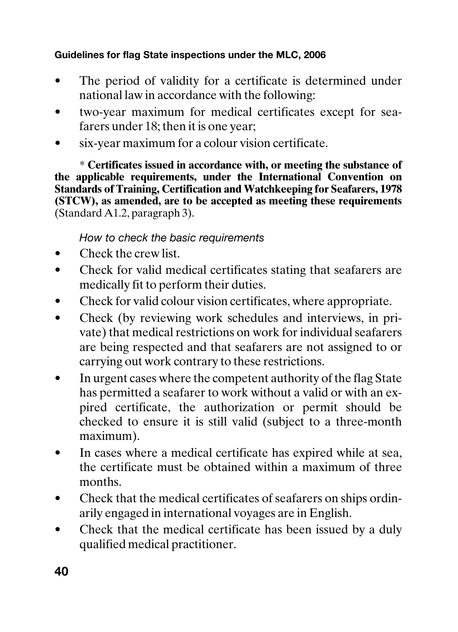- The period of validity for a certificate is determined under national law in accordance with the following:
- two-year maximum for medical certificates except for seafarers under 18; then it is one year;
- six-year maximum for a colour vision certificate.

\* **Certificates issued in accordance with, or meeting the substance of the applicable requirements, under the International Convention on Standards of Training, Certification and Watchkeeping for Seafarers, 1978 (STCW), as amended, are to be accepted as meeting these requirements** (Standard A1.2, paragraph 3).

#### How to check the basic requirements

- Check the crew list.
- Check for valid medical certificates stating that seafarers are medically fit to perform their duties.
- Check for valid colour vision certificates, where appropriate.
- Check (by reviewing work schedules and interviews, in private) that medical restrictions on work for individual seafarers are being respected and that seafarers are not assigned to or carrying out work contrary to these restrictions.
- In urgent cases where the competent authority of the flag State has permitted a seafarer to work without a valid or with an expired certificate, the authorization or permit should be checked to ensure it is still valid (subject to a three-month maximum).
- In cases where a medical certificate has expired while at sea, the certificate must be obtained within a maximum of three months.
- Check that the medical certificates of seafarers on ships ordinarily engaged in international voyages are in English.
- Check that the medical certificate has been issued by a duly qualified medical practitioner.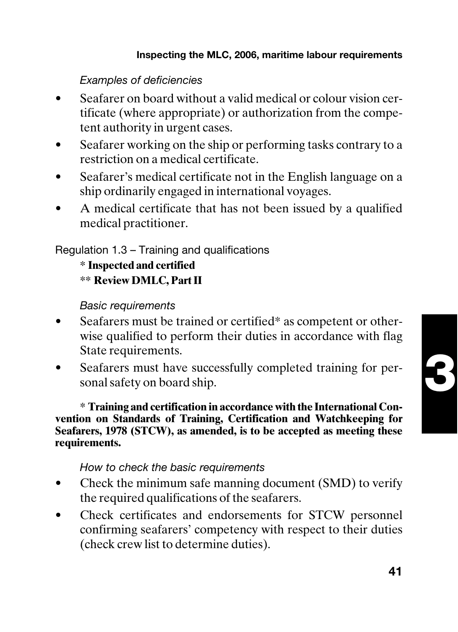Examples of deficiencies

- Seafarer on board without a valid medical or colour vision certificate (where appropriate) or authorization from the competent authority in urgent cases.
- Seafarer working on the ship or performing tasks contrary to a restriction on a medical certificate.
- Seafarer's medical certificate not in the English language on a ship ordinarily engaged in international voyages.
- A medical certificate that has not been issued by a qualified medical practitioner.

Regulation 1.3 – Training and qualifications

**\* Inspected and certified \*\* Review DMLC, Part II**

Basic requirements

- Seafarers must be trained or certified\* as competent or otherwise qualified to perform their duties in accordance with flag State requirements.
- Seafarers must have successfully completed training for personal safety on board ship.

**\* Training and certification in accordance with the International Convention on Standards of Training, Certification and Watchkeeping for Seafarers, 1978 (STCW), as amended, is to be accepted as meeting these requirements.**

#### How to check the basic requirements

- Check the minimum safe manning document (SMD) to verify the required qualifications of the seafarers.
- Check certificates and endorsements for STCW personnel confirming seafarers' competency with respect to their duties (check crew list to determine duties).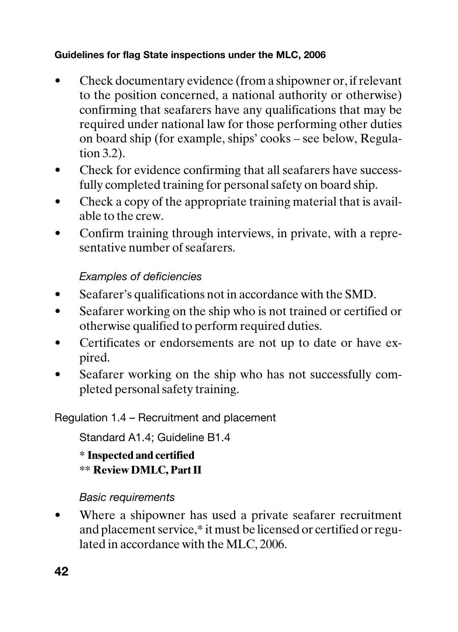- Check documentary evidence (from a shipowner or, if relevant to the position concerned, a national authority or otherwise) confirming that seafarers have any qualifications that may be required under national law for those performing other duties on board ship (for example, ships' cooks – see below, Regulation 3.2).
- Check for evidence confirming that all seafarers have successfully completed training for personal safety on board ship.
- Check a copy of the appropriate training material that is available to the crew.
- Confirm training through interviews, in private, with a representative number of seafarers.

#### Examples of deficiencies

- Seafarer's qualifications not in accordance with the SMD.
- Seafarer working on the ship who is not trained or certified or otherwise qualified to perform required duties.
- Certificates or endorsements are not up to date or have expired.
- Seafarer working on the ship who has not successfully completed personal safety training.

Regulation 1.4 – Recruitment and placement

Standard A1.4; Guideline B1.4

**\* Inspected and certified \*\* Review DMLC, Part II**

#### Basic requirements

Where a shipowner has used a private seafarer recruitment and placement service,\* it must be licensed or certified or regulated in accordance with the MLC, 2006.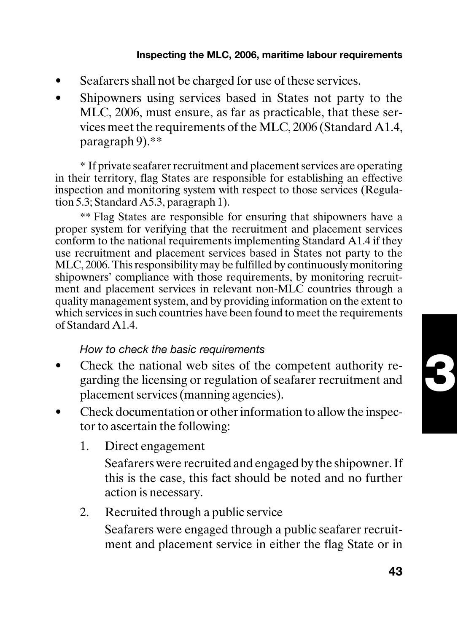#### **Inspecting the MLC, 2006, maritime labour requirements**

- Seafarers shall not be charged for use of these services.
- Shipowners using services based in States not party to the MLC, 2006, must ensure, as far as practicable, that these services meet the requirements of the MLC, 2006 (Standard A1.4, paragraph 9).\*\*

\* If private seafarer recruitment and placement services are operating in their territory, flag States are responsible for establishing an effective inspection and monitoring system with respect to those services (Regulation 5.3; Standard A5.3, paragraph 1).

\*\* Flag States are responsible for ensuring that shipowners have a proper system for verifying that the recruitment and placement services conform to the national requirements implementing Standard A1.4 if they use recruitment and placement services based in States not party to the MLC, 2006. This responsibility may be fulfilled by continuously monitoring shipowners' compliance with those requirements, by monitoring recruitment and placement services in relevant non-MLC countries through a quality management system, and by providing information on the extent to which services in such countries have been found to meet the requirements of Standard A1.4.

#### How to check the basic requirements

- Check the national web sites of the competent authority regarding the licensing or regulation of seafarer recruitment and placement services (manning agencies).
- Check documentation or other information to allow the inspector to ascertain the following:
	- 1. Direct engagement

Seafarers were recruited and engaged by the shipowner. If this is the case, this fact should be noted and no further action is necessary.

2. Recruited through a public service

Seafarers were engaged through a public seafarer recruitment and placement service in either the flag State or in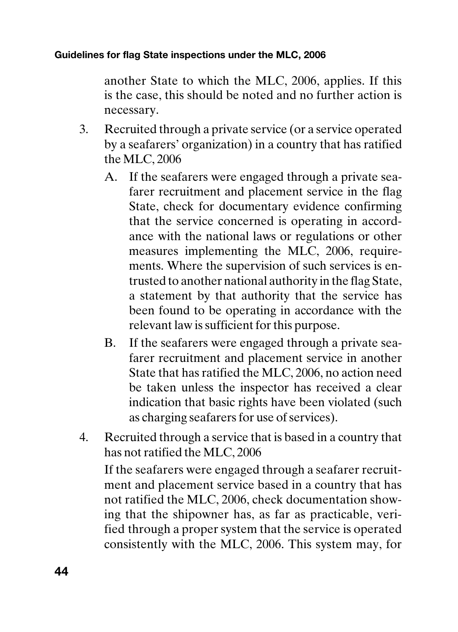another State to which the MLC, 2006, applies. If this is the case, this should be noted and no further action is necessary.

- 3. Recruited through a private service (or a service operated by a seafarers' organization) in a country that has ratified the MLC, 2006
	- A. If the seafarers were engaged through a private seafarer recruitment and placement service in the flag State, check for documentary evidence confirming that the service concerned is operating in accordance with the national laws or regulations or other measures implementing the MLC, 2006, requirements. Where the supervision of such services is entrusted to another national authority in the flag State, a statement by that authority that the service has been found to be operating in accordance with the relevant law is sufficient for this purpose.
	- B. If the seafarers were engaged through a private seafarer recruitment and placement service in another State that has ratified the MLC, 2006, no action need be taken unless the inspector has received a clear indication that basic rights have been violated (such as charging seafarers for use of services).
- 4. Recruited through a service that is based in a country that has not ratified the MLC, 2006

If the seafarers were engaged through a seafarer recruitment and placement service based in a country that has not ratified the MLC, 2006, check documentation showing that the shipowner has, as far as practicable, verified through a proper system that the service is operated consistently with the MLC, 2006. This system may, for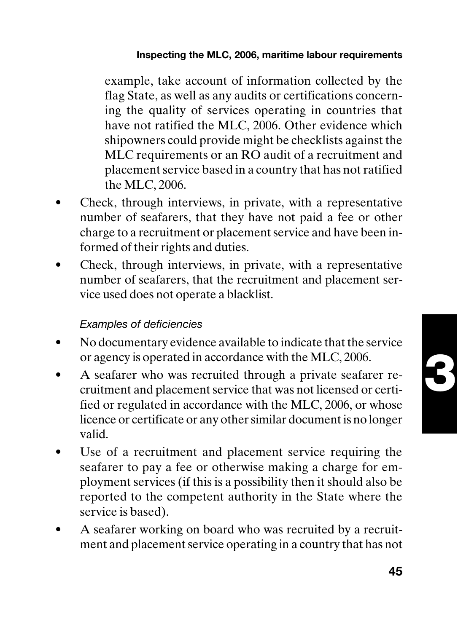#### **Inspecting the MLC, 2006, maritime labour requirements**

example, take account of information collected by the flag State, as well as any audits or certifications concerning the quality of services operating in countries that have not ratified the MLC, 2006. Other evidence which shipowners could provide might be checklists against the MLC requirements or an RO audit of a recruitment and placement service based in a country that has not ratified the MLC, 2006.

- Check, through interviews, in private, with a representative number of seafarers, that they have not paid a fee or other charge to a recruitment or placement service and have been informed of their rights and duties.
- Check, through interviews, in private, with a representative number of seafarers, that the recruitment and placement service used does not operate a blacklist.

#### Examples of deficiencies

- No documentary evidence available to indicate that the service or agency is operated in accordance with the MLC, 2006.
- A seafarer who was recruited through a private seafarer recruitment and placement service that was not licensed or certified or regulated in accordance with the MLC, 2006, or whose licence or certificate or any other similar document is no longer valid.
- Use of a recruitment and placement service requiring the seafarer to pay a fee or otherwise making a charge for employment services (if this is a possibility then it should also be reported to the competent authority in the State where the service is based).
- A seafarer working on board who was recruited by a recruitment and placement service operating in a country that has not

**45**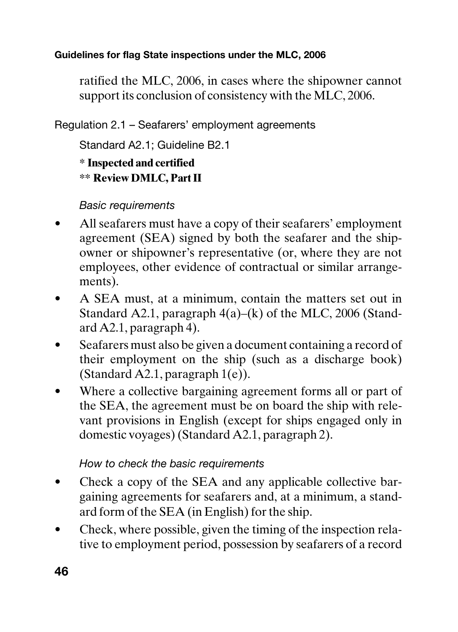ratified the MLC, 2006, in cases where the shipowner cannot support its conclusion of consistency with the MLC, 2006.

Regulation 2.1 – Seafarers' employment agreements

Standard A2.1; Guideline B2.1

**\* Inspected and certified \*\* Review DMLC, Part II**

#### Basic requirements

- All seafarers must have a copy of their seafarers' employment agreement (SEA) signed by both the seafarer and the shipowner or shipowner's representative (or, where they are not employees, other evidence of contractual or similar arrangements).
- A SEA must, at a minimum, contain the matters set out in Standard A2.1, paragraph 4(a)–(k) of the MLC, 2006 (Standard A2.1, paragraph 4).
- Seafarers must also be given a document containing a record of their employment on the ship (such as a discharge book) (Standard A2.1, paragraph 1(e)).
- Where a collective bargaining agreement forms all or part of the SEA, the agreement must be on board the ship with relevant provisions in English (except for ships engaged only in domestic voyages) (Standard A2.1, paragraph 2).

#### How to check the basic requirements

- Check a copy of the SEA and any applicable collective bargaining agreements for seafarers and, at a minimum, a standard form of the SEA (in English) for the ship.
- Check, where possible, given the timing of the inspection relative to employment period, possession by seafarers of a record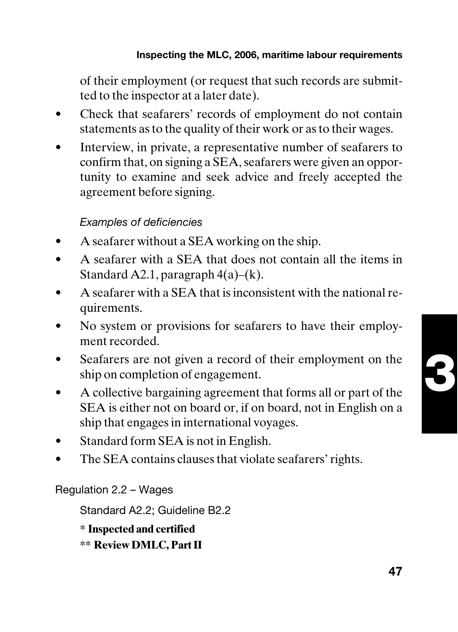of their employment (or request that such records are submitted to the inspector at a later date).

- Check that seafarers' records of employment do not contain statements as to the quality of their work or as to their wages.
- Interview, in private, a representative number of seafarers to confirm that, on signing a SEA, seafarers were given an opportunity to examine and seek advice and freely accepted the agreement before signing.

#### Examples of deficiencies

- A seafarer without a SEA working on the ship.
- A seafarer with a SEA that does not contain all the items in Standard A2.1, paragraph  $4(a)$ – $(k)$ .
- A seafarer with a SEA that is inconsistent with the national requirements.
- No system or provisions for seafarers to have their employment recorded.
- Seafarers are not given a record of their employment on the ship on completion of engagement.
- A collective bargaining agreement that forms all or part of the SEA is either not on board or, if on board, not in English on a ship that engages in international voyages.
- Standard form SEA is not in English.
- The SEA contains clauses that violate seafarers' rights.

Regulation 2.2 – Wages

Standard A2.2; Guideline B2.2

**\* Inspected and certified**

**\*\* Review DMLC, Part II**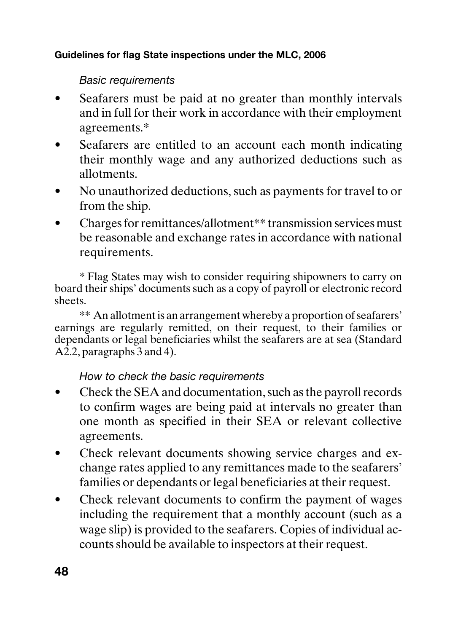#### Basic requirements

- Seafarers must be paid at no greater than monthly intervals and in full for their work in accordance with their employment agreements.\*
- Seafarers are entitled to an account each month indicating their monthly wage and any authorized deductions such as allotments.
- No unauthorized deductions, such as payments for travel to or from the ship.
- Charges for remittances/allotment\*\* transmission services must be reasonable and exchange rates in accordance with national requirements.

\* Flag States may wish to consider requiring shipowners to carry on board their ships' documents such as a copy of payroll or electronic record sheets.

\*\* An allotment is an arrangement whereby a proportion of seafarers' earnings are regularly remitted, on their request, to their families or dependants or legal beneficiaries whilst the seafarers are at sea (Standard  $A\overline{2}$ , paragraphs 3 and 4).

#### How to check the basic requirements

- Check the SEA and documentation, such as the payroll records to confirm wages are being paid at intervals no greater than one month as specified in their SEA or relevant collective agreements.
- Check relevant documents showing service charges and exchange rates applied to any remittances made to the seafarers' families or dependants or legal beneficiaries at their request.
- Check relevant documents to confirm the payment of wages including the requirement that a monthly account (such as a wage slip) is provided to the seafarers. Copies of individual accounts should be available to inspectors at their request.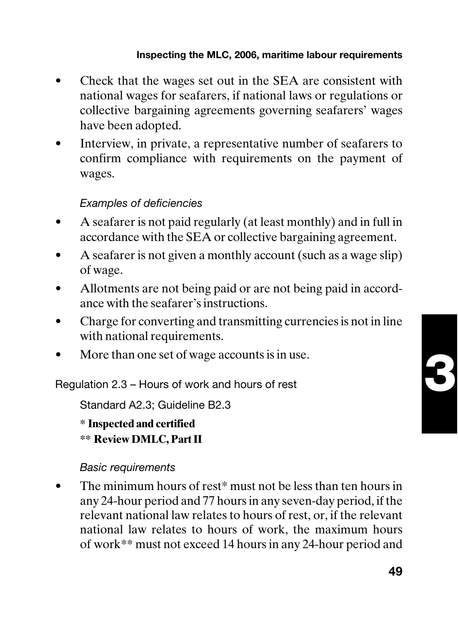#### **Inspecting the MLC, 2006, maritime labour requirements**

- Check that the wages set out in the SEA are consistent with national wages for seafarers, if national laws or regulations or collective bargaining agreements governing seafarers' wages have been adopted.
- Interview, in private, a representative number of seafarers to confirm compliance with requirements on the payment of wages.

#### Examples of deficiencies

- A seafarer is not paid regularly (at least monthly) and in full in accordance with the SEA or collective bargaining agreement.
- A seafarer is not given a monthly account (such as a wage slip) of wage.
- Allotments are not being paid or are not being paid in accordance with the seafarer's instructions.
- Charge for converting and transmitting currencies is not in line with national requirements.
- More than one set of wage accounts is in use.

Regulation 2.3 – Hours of work and hours of rest

Standard A2.3; Guideline B2.3

**\* Inspected and certified \*\* Review DMLC, Part II**

#### Basic requirements

• The minimum hours of rest<sup>\*</sup> must not be less than ten hours in any 24-hour period and 77 hours in any seven-day period, if the relevant national law relates to hours of rest, or, if the relevant national law relates to hours of work, the maximum hours of work\*\* must not exceed 14 hours in any 24-hour period and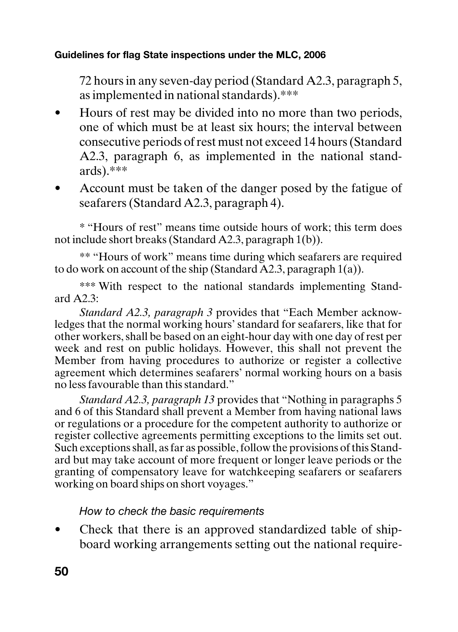72 hours in any seven-day period (Standard A2.3, paragraph 5, as implemented in national standards).\*\*\*

- Hours of rest may be divided into no more than two periods, one of which must be at least six hours; the interval between consecutive periods of rest must not exceed 14 hours (Standard A2.3, paragraph 6, as implemented in the national standards).\*\*\*
- Account must be taken of the danger posed by the fatigue of seafarers (Standard A2.3, paragraph 4).

\* "Hours of rest" means time outside hours of work; this term does not include short breaks (Standard A2.3, paragraph 1(b)).

\*\* "Hours of work" means time during which seafarers are required to do work on account of the ship (Standard  $\overline{A}2.3$ , paragraph 1(a)).

\*\*\* With respect to the national standards implementing Standard  $A2.3$ 

*Standard A2.3, paragraph 3* provides that "Each Member acknowledges that the normal working hours' standard for seafarers, like that for other workers, shall be based on an eight-hour day with one day of rest per week and rest on public holidays. However, this shall not prevent the Member from having procedures to authorize or register a collective agreement which determines seafarers' normal working hours on a basis no less favourable than this standard."

*Standard A2.3, paragraph 13* provides that "Nothing in paragraphs 5 and 6 of this Standard shall prevent a Member from having national laws or regulations or a procedure for the competent authority to authorize or register collective agreements permitting exceptions to the limits set out. Such exceptions shall, as far as possible, follow the provisions of this Standard but may take account of more frequent or longer leave periods or the granting of compensatory leave for watchkeeping seafarers or seafarers working on board ships on short voyages."

#### How to check the basic requirements

Check that there is an approved standardized table of shipboard working arrangements setting out the national require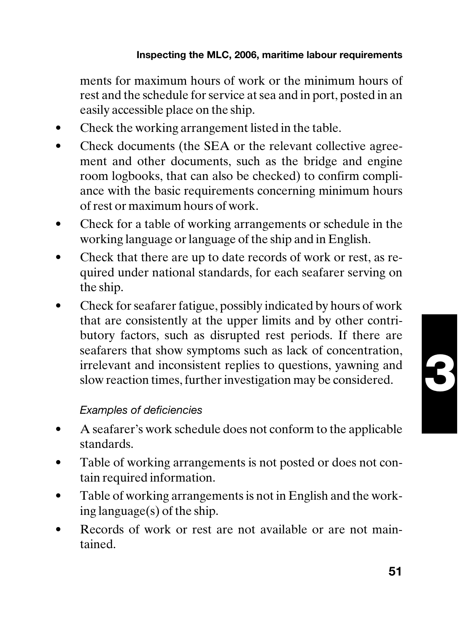ments for maximum hours of work or the minimum hours of rest and the schedule for service at sea and in port, posted in an easily accessible place on the ship.

- Check the working arrangement listed in the table.
- Check documents (the SEA or the relevant collective agreement and other documents, such as the bridge and engine room logbooks, that can also be checked) to confirm compliance with the basic requirements concerning minimum hours of rest or maximum hours of work.
- Check for a table of working arrangements or schedule in the working language or language of the ship and in English.
- Check that there are up to date records of work or rest, as required under national standards, for each seafarer serving on the ship.
- Check for seafarer fatigue, possibly indicated by hours of work that are consistently at the upper limits and by other contributory factors, such as disrupted rest periods. If there are seafarers that show symptoms such as lack of concentration, irrelevant and inconsistent replies to questions, yawning and slow reaction times, further investigation may be considered.

#### Examples of deficiencies

- A seafarer's work schedule does not conform to the applicable standards.
- Table of working arrangements is not posted or does not contain required information.
- Table of working arrangements is not in English and the working language(s) of the ship.
- Records of work or rest are not available or are not maintained.

**51**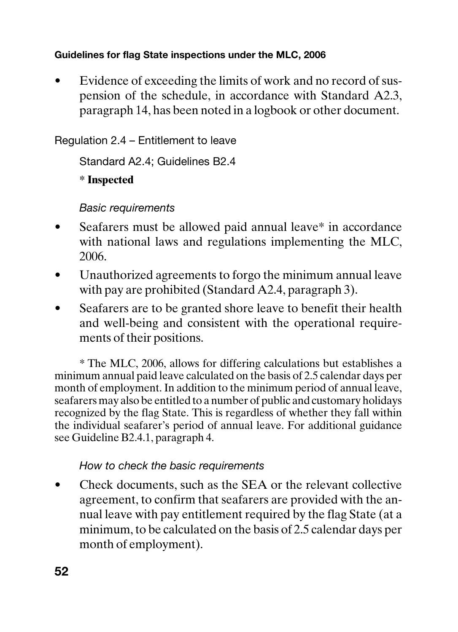Evidence of exceeding the limits of work and no record of suspension of the schedule, in accordance with Standard A2.3, paragraph 14, has been noted in a logbook or other document.

#### Regulation 2.4 – Entitlement to leave

Standard A2.4; Guidelines B2.4

**\* Inspected**

#### Basic requirements

- Seafarers must be allowed paid annual leave\* in accordance with national laws and regulations implementing the MLC, 2006.
- Unauthorized agreements to forgo the minimum annual leave with pay are prohibited (Standard A2.4, paragraph 3).
- Seafarers are to be granted shore leave to benefit their health and well-being and consistent with the operational requirements of their positions.

\* The MLC, 2006, allows for differing calculations but establishes a minimum annual paid leave calculated on the basis of 2.5 calendar days per month of employment. In addition to the minimum period of annual leave, seafarers may also be entitled to a number of public and customary holidays recognized by the flag State. This is regardless of whether they fall within the individual seafarer's period of annual leave. For additional guidance see Guideline B2.4.1, paragraph 4.

#### How to check the basic requirements

• Check documents, such as the SEA or the relevant collective agreement, to confirm that seafarers are provided with the annual leave with pay entitlement required by the flag State (at a minimum, to be calculated on the basis of 2.5 calendar days per month of employment).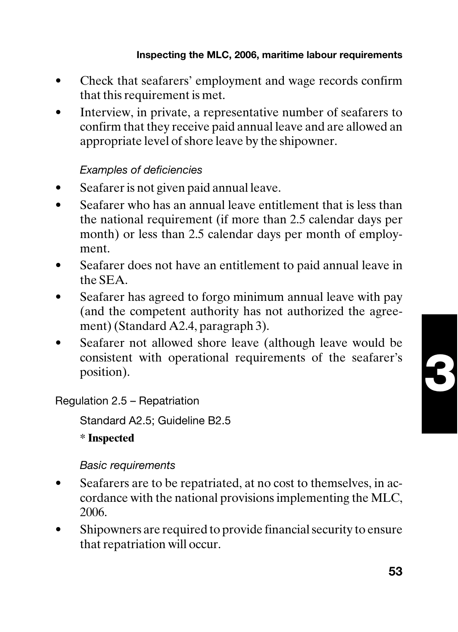- Check that seafarers' employment and wage records confirm that this requirement is met.
- Interview, in private, a representative number of seafarers to confirm that they receive paid annual leave and are allowed an appropriate level of shore leave by the shipowner.

#### Examples of deficiencies

- Seafarer is not given paid annual leave.
- Seafarer who has an annual leave entitlement that is less than the national requirement (if more than 2.5 calendar days per month) or less than 2.5 calendar days per month of employment.
- Seafarer does not have an entitlement to paid annual leave in the SEA.
- Seafarer has agreed to forgo minimum annual leave with pay (and the competent authority has not authorized the agreement) (Standard A2.4, paragraph 3).
- Seafarer not allowed shore leave (although leave would be consistent with operational requirements of the seafarer's position).

Regulation 2.5 – Repatriation

Standard A2.5; Guideline B2.5

**\* Inspected**

#### Basic requirements

- Seafarers are to be repatriated, at no cost to themselves, in accordance with the national provisions implementing the MLC, 2006.
- Shipowners are required to provide financial security to ensure that repatriation will occur.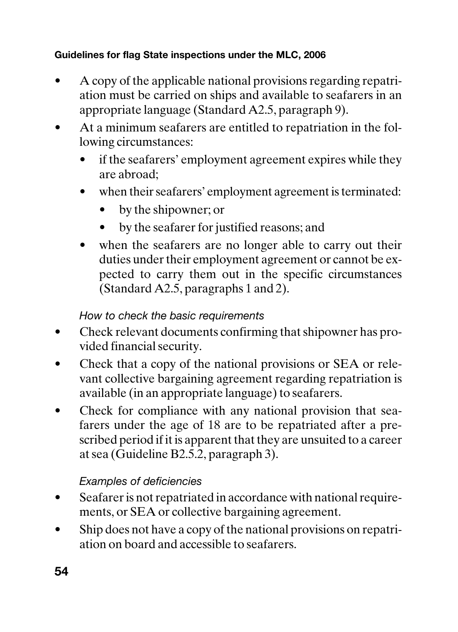- A copy of the applicable national provisions regarding repatriation must be carried on ships and available to seafarers in an appropriate language (Standard A2.5, paragraph 9).
- At a minimum seafarers are entitled to repatriation in the following circumstances:
	- if the seafarers' employment agreement expires while they are abroad;
	- when their seafarers' employment agreement is terminated:
		- by the shipowner; or
		- by the seafarer for justified reasons; and
	- when the seafarers are no longer able to carry out their duties under their employment agreement or cannot be expected to carry them out in the specific circumstances (Standard A2.5, paragraphs 1 and 2).

#### How to check the basic requirements

- Check relevant documents confirming that shipowner has provided financial security.
- Check that a copy of the national provisions or SEA or relevant collective bargaining agreement regarding repatriation is available (in an appropriate language) to seafarers.
- Check for compliance with any national provision that seafarers under the age of 18 are to be repatriated after a prescribed period if it is apparent that they are unsuited to a career at sea (Guideline B2.5.2, paragraph 3).

#### Examples of deficiencies

- Seafarer is not repatriated in accordance with national requirements, or SEA or collective bargaining agreement.
- Ship does not have a copy of the national provisions on repatriation on board and accessible to seafarers.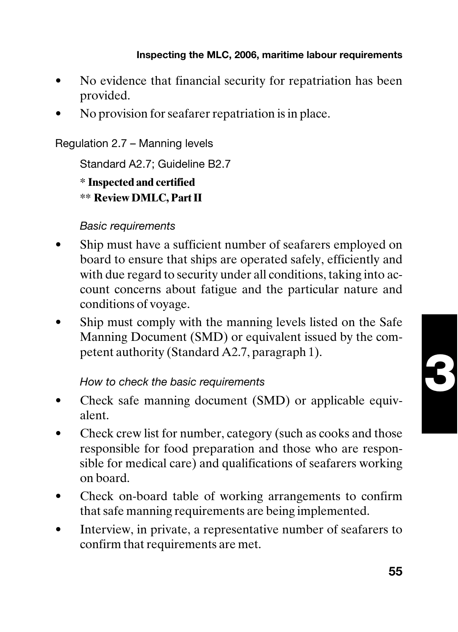- No evidence that financial security for repatriation has been provided.
- No provision for seafarer repatriation is in place.

Regulation 2.7 – Manning levels

Standard A2.7; Guideline B2.7

**\* Inspected and certified**

**\*\* Review DMLC, Part II**

#### Basic requirements

- Ship must have a sufficient number of seafarers employed on board to ensure that ships are operated safely, efficiently and with due regard to security under all conditions, taking into account concerns about fatigue and the particular nature and conditions of voyage.
- Ship must comply with the manning levels listed on the Safe Manning Document (SMD) or equivalent issued by the competent authority (Standard A2.7, paragraph 1).

#### How to check the basic requirements

- Check safe manning document (SMD) or applicable equivalent.
- Check crew list for number, category (such as cooks and those responsible for food preparation and those who are responsible for medical care) and qualifications of seafarers working on board.
- Check on-board table of working arrangements to confirm that safe manning requirements are being implemented.
- Interview, in private, a representative number of seafarers to confirm that requirements are met.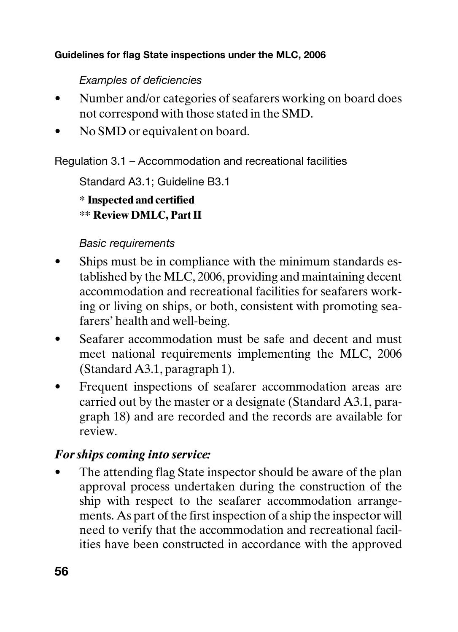#### Examples of deficiencies

- Number and/or categories of seafarers working on board does not correspond with those stated in the SMD.
- No SMD or equivalent on board.

Regulation 3.1 – Accommodation and recreational facilities

Standard A3.1; Guideline B3.1

**\* Inspected and certified \*\* Review DMLC, Part II**

#### Basic requirements

- Ships must be in compliance with the minimum standards established by the MLC, 2006, providing and maintaining decent accommodation and recreational facilities for seafarers working or living on ships, or both, consistent with promoting seafarers' health and well-being.
- Seafarer accommodation must be safe and decent and must meet national requirements implementing the MLC, 2006 (Standard A3.1, paragraph 1).
- Frequent inspections of seafarer accommodation areas are carried out by the master or a designate (Standard A3.1, paragraph 18) and are recorded and the records are available for review.

• The attending flag State inspector should be aware of the plan approval process undertaken during the construction of the ship with respect to the seafarer accommodation arrangements. As part of the first inspection of a ship the inspector will need to verify that the accommodation and recreational facilities have been constructed in accordance with the approved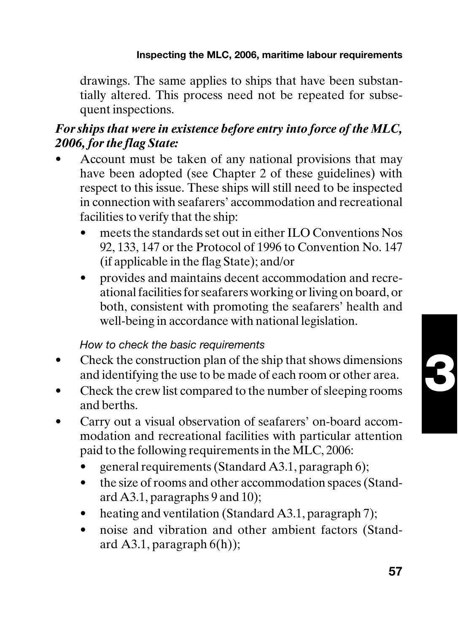drawings. The same applies to ships that have been substantially altered. This process need not be repeated for subsequent inspections.

### *For ships that were in existence before entry into force of the MLC,*

- Account must be taken of any national provisions that may have been adopted (see Chapter 2 of these guidelines) with respect to this issue. These ships will still need to be inspected in connection with seafarers' accommodation and recreational facilities to verify that the ship:
	- meets the standards set out in either ILO Conventions Nos 92, 133, 147 or the Protocol of 1996 to Convention No. 147 (if applicable in the flag State); and/or
	- provides and maintains decent accommodation and recreational facilities for seafarers working or living on board, or both, consistent with promoting the seafarers' health and well-being in accordance with national legislation.

#### How to check the basic requirements

- Check the construction plan of the ship that shows dimensions and identifying the use to be made of each room or other area.
- Check the crew list compared to the number of sleeping rooms and berths.
- Carry out a visual observation of seafarers' on-board accommodation and recreational facilities with particular attention paid to the following requirements in the MLC, 2006:
	- general requirements (Standard A3.1, paragraph 6);
	- the size of rooms and other accommodation spaces (Standard A3.1, paragraphs 9 and 10);
	- heating and ventilation (Standard A3.1, paragraph 7);
	- noise and vibration and other ambient factors (Standard  $A3.1$ , paragraph  $6(h)$ ;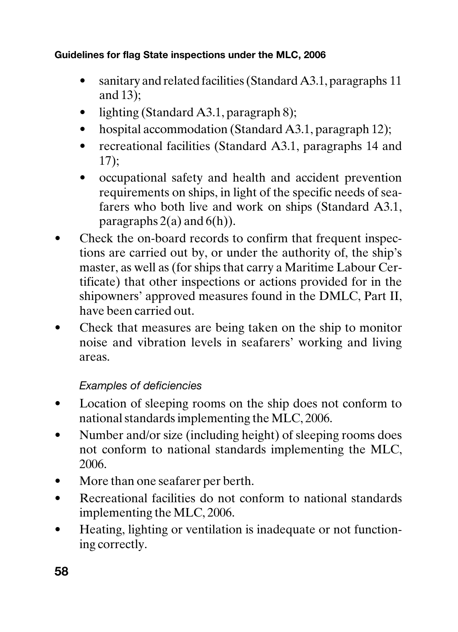- sanitary and related facilities (Standard A3.1, paragraphs 11) and 13);
- lighting (Standard A3.1, paragraph 8);
- hospital accommodation (Standard A3.1, paragraph 12);
- recreational facilities (Standard A3.1, paragraphs 14 and 17);
- occupational safety and health and accident prevention requirements on ships, in light of the specific needs of seafarers who both live and work on ships (Standard A3.1, paragraphs  $2(a)$  and  $6(h)$ ).
- Check the on-board records to confirm that frequent inspections are carried out by, or under the authority of, the ship's master, as well as (for ships that carry a Maritime Labour Certificate) that other inspections or actions provided for in the shipowners' approved measures found in the DMLC, Part II, have been carried out.
- Check that measures are being taken on the ship to monitor noise and vibration levels in seafarers' working and living areas.

#### Examples of deficiencies

- Location of sleeping rooms on the ship does not conform to national standards implementing the MLC, 2006.
- Number and/or size (including height) of sleeping rooms does not conform to national standards implementing the MLC, 2006.
- More than one seafarer per berth.
- Recreational facilities do not conform to national standards implementing the MLC, 2006.
- Heating, lighting or ventilation is inadequate or not functioning correctly.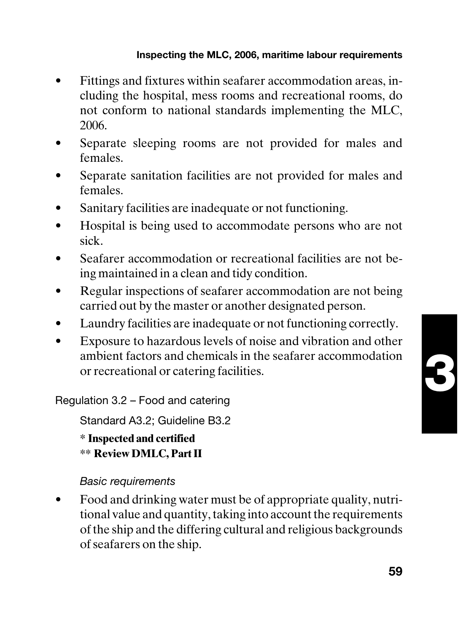#### **Inspecting the MLC, 2006, maritime labour requirements**

- Fittings and fixtures within seafarer accommodation areas, including the hospital, mess rooms and recreational rooms, do not conform to national standards implementing the MLC, 2006.
- Separate sleeping rooms are not provided for males and females.
- Separate sanitation facilities are not provided for males and females.
- Sanitary facilities are inadequate or not functioning.
- Hospital is being used to accommodate persons who are not sick.
- Seafarer accommodation or recreational facilities are not being maintained in a clean and tidy condition.
- Regular inspections of seafarer accommodation are not being carried out by the master or another designated person.
- Laundry facilities are inadequate or not functioning correctly.
- Exposure to hazardous levels of noise and vibration and other ambient factors and chemicals in the seafarer accommodation or recreational or catering facilities.

Regulation 3.2 – Food and catering

Standard A3.2; Guideline B3.2

**\* Inspected and certified \*\* Review DMLC, Part II**

#### Basic requirements

• Food and drinking water must be of appropriate quality, nutritional value and quantity, taking into account the requirements of the ship and the differing cultural and religious backgrounds of seafarers on the ship.

**3**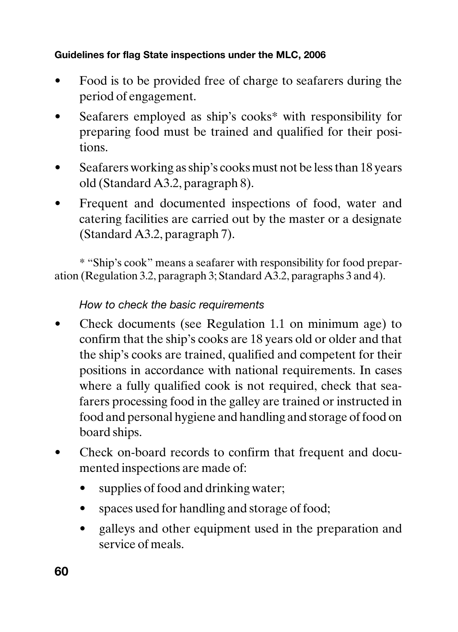- Food is to be provided free of charge to seafarers during the period of engagement.
- Seafarers employed as ship's cooks\* with responsibility for preparing food must be trained and qualified for their positions.
- Seafarers working as ship's cooks must not be less than 18 years old (Standard A3.2, paragraph 8).
- Frequent and documented inspections of food, water and catering facilities are carried out by the master or a designate (Standard A3.2, paragraph 7).

\* "Ship's cook" means a seafarer with responsibility for food preparation (Regulation 3.2, paragraph 3; Standard A3.2, paragraphs 3 and 4).

#### How to check the basic requirements

- Check documents (see Regulation 1.1 on minimum age) to confirm that the ship's cooks are 18 years old or older and that the ship's cooks are trained, qualified and competent for their positions in accordance with national requirements. In cases where a fully qualified cook is not required, check that seafarers processing food in the galley are trained or instructed in food and personal hygiene and handling and storage of food on board ships.
- Check on-board records to confirm that frequent and documented inspections are made of:
	- supplies of food and drinking water;
	- spaces used for handling and storage of food;
	- galleys and other equipment used in the preparation and service of meals.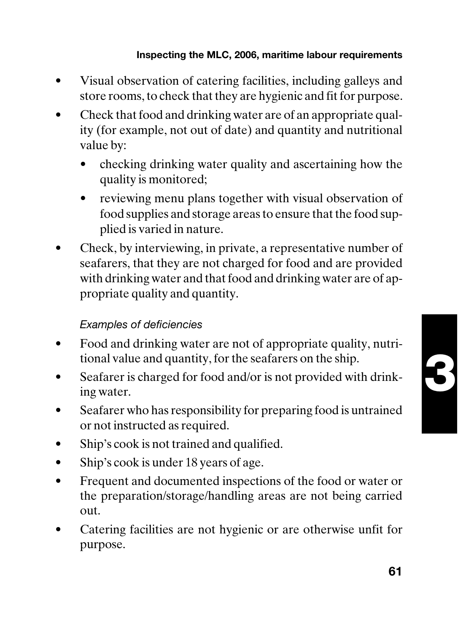- Visual observation of catering facilities, including galleys and store rooms, to check that they are hygienic and fit for purpose.
- Check that food and drinking water are of an appropriate quality (for example, not out of date) and quantity and nutritional value by:
	- checking drinking water quality and ascertaining how the quality is monitored;
	- reviewing menu plans together with visual observation of food supplies and storage areas to ensure that the food supplied is varied in nature.
- Check, by interviewing, in private, a representative number of seafarers, that they are not charged for food and are provided with drinking water and that food and drinking water are of appropriate quality and quantity.

## Examples of deficiencies

- Food and drinking water are not of appropriate quality, nutritional value and quantity, for the seafarers on the ship.
- Seafarer is charged for food and/or is not provided with drinking water.
- Seafarer who has responsibility for preparing food is untrained or not instructed as required.
- Ship's cook is not trained and qualified.
- Ship's cook is under 18 years of age.
- Frequent and documented inspections of the food or water or the preparation/storage/handling areas are not being carried out.
- Catering facilities are not hygienic or are otherwise unfit for purpose.

**61**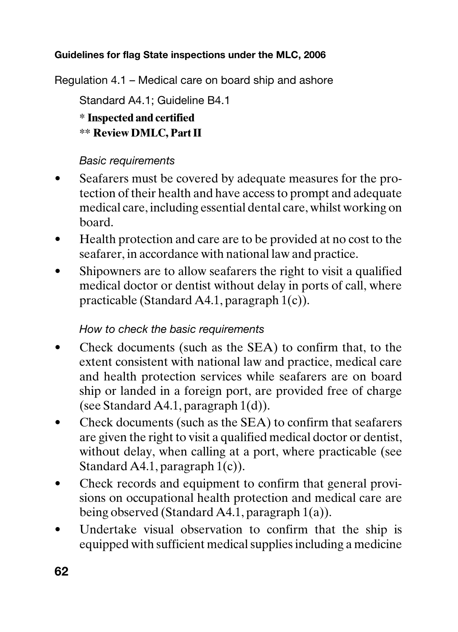Regulation 4.1 – Medical care on board ship and ashore

Standard A4.1; Guideline B4.1

**\* Inspected and certified \*\* Review DMLC, Part II**

## Basic requirements

- Seafarers must be covered by adequate measures for the protection of their health and have access to prompt and adequate medical care, including essential dental care, whilst working on board.
- Health protection and care are to be provided at no cost to the seafarer, in accordance with national law and practice.
- Shipowners are to allow seafarers the right to visit a qualified medical doctor or dentist without delay in ports of call, where practicable (Standard A4.1, paragraph 1(c)).

## How to check the basic requirements

- Check documents (such as the SEA) to confirm that, to the extent consistent with national law and practice, medical care and health protection services while seafarers are on board ship or landed in a foreign port, are provided free of charge (see Standard A4.1, paragraph 1(d)).
- Check documents (such as the SEA) to confirm that seafarers are given the right to visit a qualified medical doctor or dentist, without delay, when calling at a port, where practicable (see Standard A4.1, paragraph 1(c)).
- Check records and equipment to confirm that general provisions on occupational health protection and medical care are being observed (Standard A4.1, paragraph 1(a)).
- Undertake visual observation to confirm that the ship is equipped with sufficient medical supplies including a medicine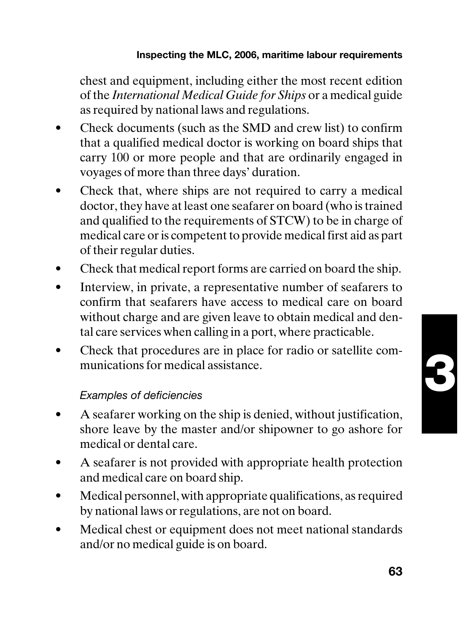chest and equipment, including either the most recent edition of the *International Medical Guide for Ships* or a medical guide as required by national laws and regulations.

- Check documents (such as the SMD and crew list) to confirm that a qualified medical doctor is working on board ships that carry 100 or more people and that are ordinarily engaged in voyages of more than three days' duration.
- Check that, where ships are not required to carry a medical doctor, they have at least one seafarer on board (who is trained and qualified to the requirements of STCW) to be in charge of medical care or is competent to provide medical first aid as part of their regular duties.
- Check that medical report forms are carried on board the ship.
- Interview, in private, a representative number of seafarers to confirm that seafarers have access to medical care on board without charge and are given leave to obtain medical and dental care services when calling in a port, where practicable.
- Check that procedures are in place for radio or satellite communications for medical assistance.

### Examples of deficiencies

- A seafarer working on the ship is denied, without justification, shore leave by the master and/or shipowner to go ashore for medical or dental care.
- A seafarer is not provided with appropriate health protection and medical care on board ship.
- Medical personnel, with appropriate qualifications, as required by national laws or regulations, are not on board.
- Medical chest or equipment does not meet national standards and/or no medical guide is on board.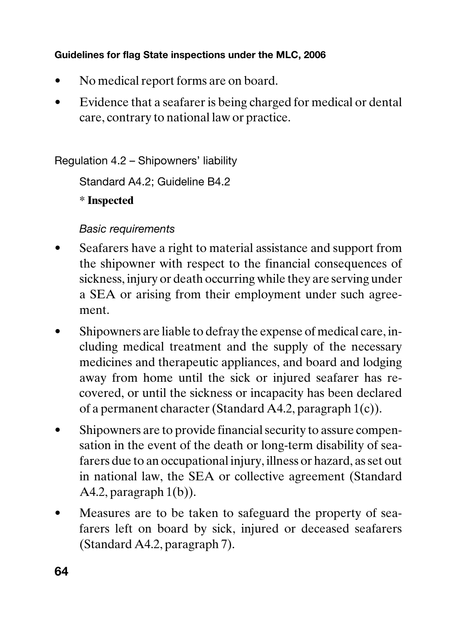- No medical report forms are on board.
- Evidence that a seafarer is being charged for medical or dental care, contrary to national law or practice.

Regulation 4.2 – Shipowners' liability

Standard A4.2; Guideline B4.2

**\* Inspected**

## Basic requirements

- Seafarers have a right to material assistance and support from the shipowner with respect to the financial consequences of sickness, injury or death occurring while they are serving under a SEA or arising from their employment under such agreement.
- Shipowners are liable to defray the expense of medical care, including medical treatment and the supply of the necessary medicines and therapeutic appliances, and board and lodging away from home until the sick or injured seafarer has recovered, or until the sickness or incapacity has been declared of a permanent character (Standard A4.2, paragraph 1(c)).
- Shipowners are to provide financial security to assure compensation in the event of the death or long-term disability of seafarers due to an occupational injury, illness or hazard, as set out in national law, the SEA or collective agreement (Standard A4.2, paragraph  $1(b)$ ).
- Measures are to be taken to safeguard the property of seafarers left on board by sick, injured or deceased seafarers (Standard A4.2, paragraph 7).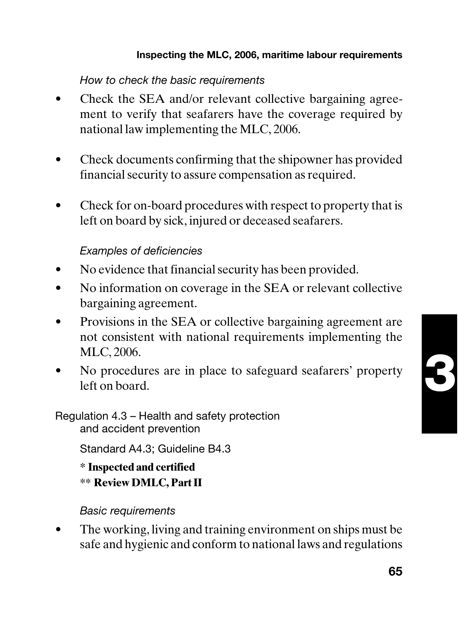### How to check the basic requirements

- Check the SEA and/or relevant collective bargaining agreement to verify that seafarers have the coverage required by national law implementing the MLC, 2006.
- Check documents confirming that the shipowner has provided financial security to assure compensation as required.
- Check for on-board procedures with respect to property that is left on board by sick, injured or deceased seafarers.

### Examples of deficiencies

- No evidence that financial security has been provided.
- No information on coverage in the SEA or relevant collective bargaining agreement.
- Provisions in the SEA or collective bargaining agreement are not consistent with national requirements implementing the MLC, 2006.
- No procedures are in place to safeguard seafarers' property left on board.

#### Regulation 4.3 – Health and safety protection and accident prevention

Standard A4.3; Guideline B4.3

**\* Inspected and certified \*\* Review DMLC, Part II**

### Basic requirements

The working, living and training environment on ships must be safe and hygienic and conform to national laws and regulations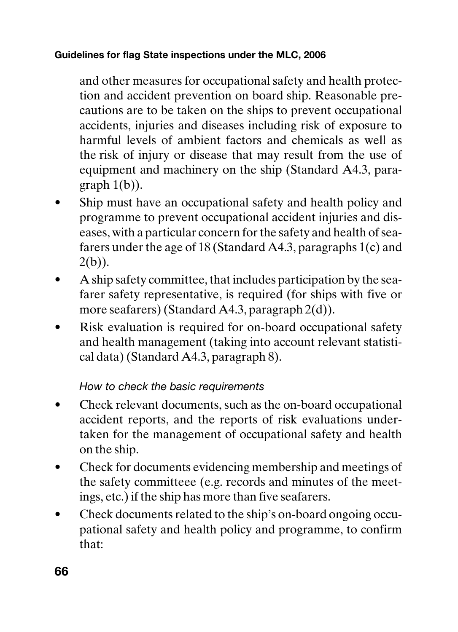and other measures for occupational safety and health protection and accident prevention on board ship. Reasonable precautions are to be taken on the ships to prevent occupational accidents, injuries and diseases including risk of exposure to harmful levels of ambient factors and chemicals as well as the risk of injury or disease that may result from the use of equipment and machinery on the ship (Standard A4.3, paragraph  $1(b)$ ).

- Ship must have an occupational safety and health policy and programme to prevent occupational accident injuries and diseases, with a particular concern for the safety and health of seafarers under the age of 18 (Standard A4.3, paragraphs 1(c) and  $2(b)$ ).
- A ship safety committee, that includes participation by the seafarer safety representative, is required (for ships with five or more seafarers) (Standard A4.3, paragraph 2(d)).
- Risk evaluation is required for on-board occupational safety and health management (taking into account relevant statistical data) (Standard A4.3, paragraph 8).

## How to check the basic requirements

- Check relevant documents, such as the on-board occupational accident reports, and the reports of risk evaluations undertaken for the management of occupational safety and health on the ship.
- Check for documents evidencing membership and meetings of the safety committeee (e.g. records and minutes of the meetings, etc.) if the ship has more than five seafarers.
- Check documents related to the ship's on-board ongoing occupational safety and health policy and programme, to confirm that: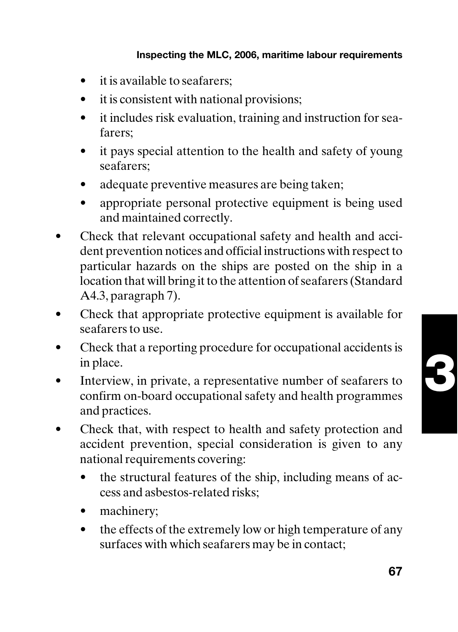- it is available to seafarers;
- it is consistent with national provisions;
- it includes risk evaluation, training and instruction for seafarers;
- it pays special attention to the health and safety of young seafarers;
- adequate preventive measures are being taken;
- appropriate personal protective equipment is being used and maintained correctly.
- Check that relevant occupational safety and health and accident prevention notices and official instructions with respect to particular hazards on the ships are posted on the ship in a location that will bring it to the attention of seafarers (Standard A4.3, paragraph 7).
- Check that appropriate protective equipment is available for seafarers to use.
- Check that a reporting procedure for occupational accidents is in place.
- Interview, in private, a representative number of seafarers to confirm on-board occupational safety and health programmes and practices.
- Check that, with respect to health and safety protection and accident prevention, special consideration is given to any national requirements covering:
	- the structural features of the ship, including means of access and asbestos-related risks;
	- machinery:
	- the effects of the extremely low or high temperature of any surfaces with which seafarers may be in contact;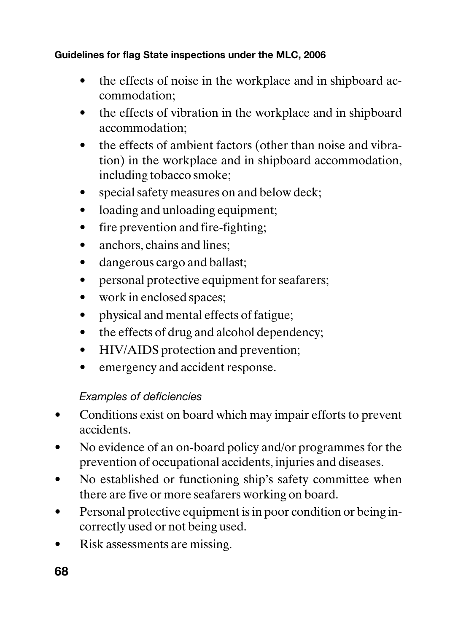- the effects of noise in the workplace and in shipboard accommodation;
- the effects of vibration in the workplace and in shipboard accommodation;
- the effects of ambient factors (other than noise and vibration) in the workplace and in shipboard accommodation, including tobacco smoke;
- special safety measures on and below deck;
- loading and unloading equipment;
- fire prevention and fire-fighting;
- anchors, chains and lines:
- dangerous cargo and ballast;
- personal protective equipment for seafarers;
- work in enclosed spaces;
- physical and mental effects of fatigue;
- the effects of drug and alcohol dependency;
- HIV/AIDS protection and prevention;
- emergency and accident response.

## Examples of deficiencies

- Conditions exist on board which may impair efforts to prevent accidents.
- No evidence of an on-board policy and/or programmes for the prevention of occupational accidents, injuries and diseases.
- No established or functioning ship's safety committee when there are five or more seafarers working on board.
- Personal protective equipment is in poor condition or being incorrectly used or not being used.
- Risk assessments are missing.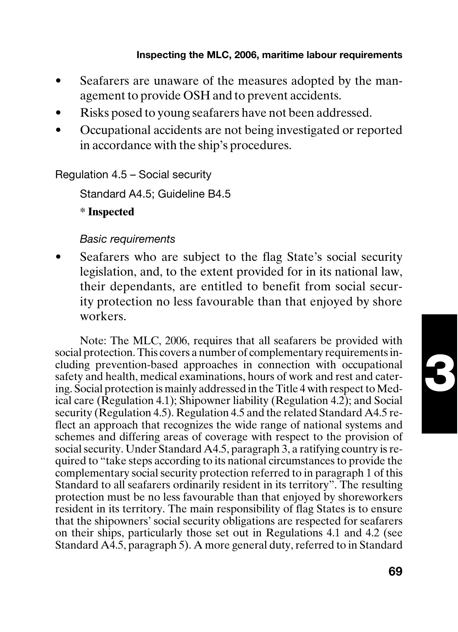- Seafarers are unaware of the measures adopted by the management to provide OSH and to prevent accidents.
- Risks posed to young seafarers have not been addressed.
- Occupational accidents are not being investigated or reported in accordance with the ship's procedures.

Regulation 4.5 – Social security

Standard A4.5; Guideline B4.5

**\* Inspected**

#### Basic requirements

Seafarers who are subject to the flag State's social security legislation, and, to the extent provided for in its national law, their dependants, are entitled to benefit from social security protection no less favourable than that enjoyed by shore workers.

Note: The MLC, 2006, requires that all seafarers be provided with social protection. This covers a number of complementary requirements including prevention-based approaches in connection with occupational safety and health, medical examinations, hours of work and rest and catering. Social protection is mainly addressed in the Title 4 with respect to Medical care (Regulation 4.1); Shipowner liability (Regulation 4.2); and Social security (Regulation 4.5). Regulation 4.5 and the related Standard A4.5 reflect an approach that recognizes the wide range of national systems and schemes and differing areas of coverage with respect to the provision of social security. Under Standard A4.5, paragraph 3, a ratifying country is required to "take steps according to its national circumstances to provide the complementary social security protection referred to in paragraph 1 of this Standard to all seafarers ordinarily resident in its territory". The resulting protection must be no less favourable than that enjoyed by shoreworkers resident in its territory. The main responsibility of flag States is to ensure that the shipowners' social security obligations are respected for seafarers on their ships, particularly those set out in Regulations 4.1 and 4.2 (see Standard A4.5, paragraph 5). A more general duty, referred to in Standard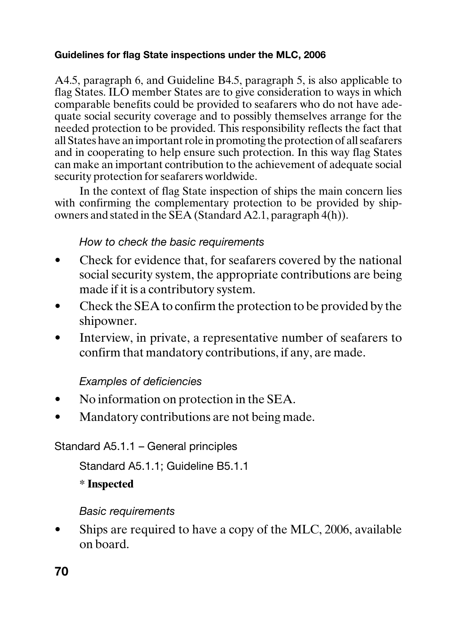A4.5, paragraph 6, and Guideline B4.5, paragraph 5, is also applicable to flag States. ILO member States are to give consideration to ways in which comparable benefits could be provided to seafarers who do not have adequate social security coverage and to possibly themselves arrange for the needed protection to be provided. This responsibility reflects the fact that all States have an important role in promoting the protection of all seafarers and in cooperating to help ensure such protection. In this way flag States can make an important contribution to the achievement of adequate social security protection for seafarers worldwide.

In the context of flag State inspection of ships the main concern lies with confirming the complementary protection to be provided by shipowners and stated in the SEA (Standard A2.1, paragraph 4(h)).

## How to check the basic requirements

- Check for evidence that, for seafarers covered by the national social security system, the appropriate contributions are being made if it is a contributory system.
- Check the SEA to confirm the protection to be provided by the shipowner.
- Interview, in private, a representative number of seafarers to confirm that mandatory contributions, if any, are made.

## Examples of deficiencies

- No information on protection in the SEA.
- Mandatory contributions are not being made.

Standard A5.1.1 – General principles

Standard A5.1.1; Guideline B5.1.1

**\* Inspected**

Basic requirements

Ships are required to have a copy of the MLC, 2006, available on board.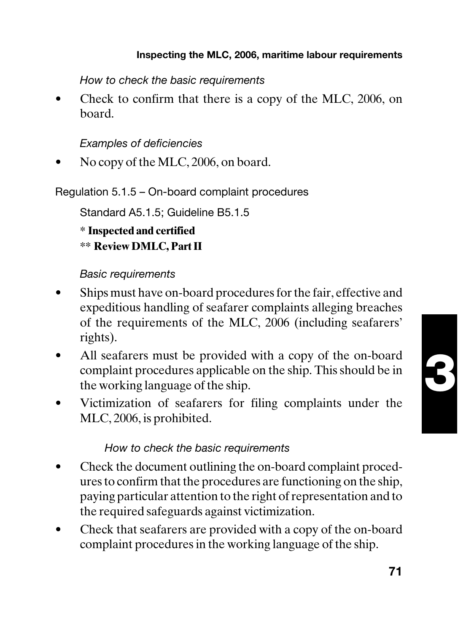How to check the basic requirements

Check to confirm that there is a copy of the MLC, 2006, on board.

Examples of deficiencies

• No copy of the MLC, 2006, on board.

Regulation 5.1.5 – On-board complaint procedures

Standard A5.1.5; Guideline B5.1.5

**\* Inspected and certified**

**\*\* Review DMLC, Part II**

### Basic requirements

- Ships must have on-board procedures for the fair, effective and expeditious handling of seafarer complaints alleging breaches of the requirements of the MLC, 2006 (including seafarers' rights).
- All seafarers must be provided with a copy of the on-board complaint procedures applicable on the ship. This should be in the working language of the ship.
- Victimization of seafarers for filing complaints under the MLC, 2006, is prohibited.

## How to check the basic requirements

- Check the document outlining the on-board complaint procedures to confirm that the procedures are functioning on the ship, paying particular attention to the right of representation and to the required safeguards against victimization.
- Check that seafarers are provided with a copy of the on-board complaint procedures in the working language of the ship.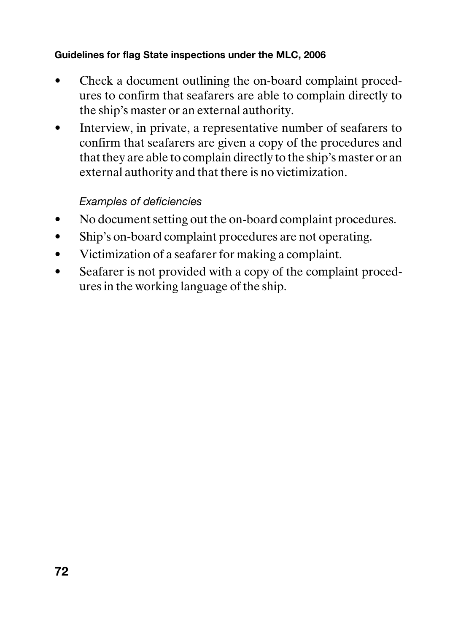- Check a document outlining the on-board complaint procedures to confirm that seafarers are able to complain directly to the ship's master or an external authority.
- Interview, in private, a representative number of seafarers to confirm that seafarers are given a copy of the procedures and that they are able to complain directly to the ship's master or an external authority and that there is no victimization.

## Examples of deficiencies

- No document setting out the on-board complaint procedures.
- Ship's on-board complaint procedures are not operating.
- Victimization of a seafarer for making a complaint.
- Seafarer is not provided with a copy of the complaint procedures in the working language of the ship.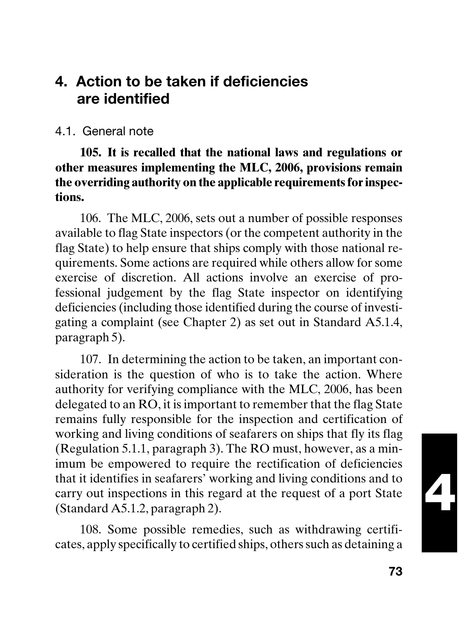# **4. Action to be taken if deficiencies are identified**

## 4.1. General note

**105. It is recalled that the national laws and regulations or other measures implementing the MLC, 2006, provisions remain the overriding authority on the applicable requirements for inspections.**

106. The MLC, 2006, sets out a number of possible responses available to flag State inspectors (or the competent authority in the flag State) to help ensure that ships comply with those national requirements. Some actions are required while others allow for some exercise of discretion. All actions involve an exercise of professional judgement by the flag State inspector on identifying deficiencies (including those identified during the course of investigating a complaint (see Chapter 2) as set out in Standard A5.1.4, paragraph 5).

107. In determining the action to be taken, an important consideration is the question of who is to take the action. Where authority for verifying compliance with the MLC, 2006, has been delegated to an RO, it is important to remember that the flag State remains fully responsible for the inspection and certification of working and living conditions of seafarers on ships that fly its flag (Regulation 5.1.1, paragraph 3). The RO must, however, as a minimum be empowered to require the rectification of deficiencies that it identifies in seafarers' working and living conditions and to carry out inspections in this regard at the request of a port State (Standard A5.1.2, paragraph 2).

108. Some possible remedies, such as withdrawing certificates, apply specifically to certified ships, others such as detaining a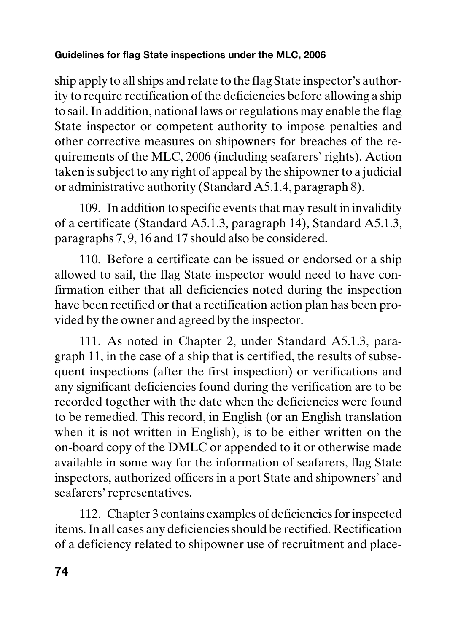ship apply to all ships and relate to the flag State inspector's authority to require rectification of the deficiencies before allowing a ship to sail. In addition, national laws or regulations may enable the flag State inspector or competent authority to impose penalties and other corrective measures on shipowners for breaches of the requirements of the MLC, 2006 (including seafarers' rights). Action taken is subject to any right of appeal by the shipowner to a judicial or administrative authority (Standard A5.1.4, paragraph 8).

109. In addition to specific events that may result in invalidity of a certificate (Standard A5.1.3, paragraph 14), Standard A5.1.3, paragraphs 7, 9, 16 and 17 should also be considered.

110. Before a certificate can be issued or endorsed or a ship allowed to sail, the flag State inspector would need to have confirmation either that all deficiencies noted during the inspection have been rectified or that a rectification action plan has been provided by the owner and agreed by the inspector.

111. As noted in Chapter 2, under Standard A5.1.3, paragraph 11, in the case of a ship that is certified, the results of subsequent inspections (after the first inspection) or verifications and any significant deficiencies found during the verification are to be recorded together with the date when the deficiencies were found to be remedied. This record, in English (or an English translation when it is not written in English), is to be either written on the on-board copy of the DMLC or appended to it or otherwise made available in some way for the information of seafarers, flag State inspectors, authorized officers in a port State and shipowners' and seafarers' representatives.

112. Chapter 3 contains examples of deficiencies for inspected items. In all cases any deficiencies should be rectified. Rectification of a deficiency related to shipowner use of recruitment and place-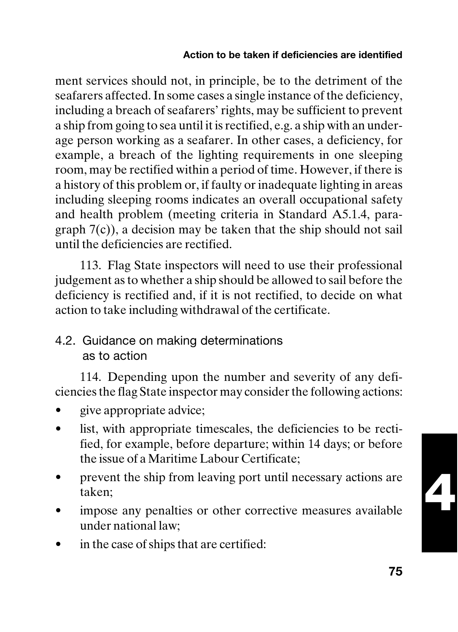### **Action to be taken if deficiencies are identified**

ment services should not, in principle, be to the detriment of the seafarers affected. In some cases a single instance of the deficiency, including a breach of seafarers' rights, may be sufficient to prevent a ship from going to sea until it is rectified, e.g. a ship with an underage person working as a seafarer. In other cases, a deficiency, for example, a breach of the lighting requirements in one sleeping room, may be rectified within a period of time. However, if there is a history of this problem or, if faulty or inadequate lighting in areas including sleeping rooms indicates an overall occupational safety and health problem (meeting criteria in Standard A5.1.4, paragraph  $7(c)$ ), a decision may be taken that the ship should not sail until the deficiencies are rectified.

113. Flag State inspectors will need to use their professional judgement as to whether a ship should be allowed to sail before the deficiency is rectified and, if it is not rectified, to decide on what action to take including withdrawal of the certificate.

## 4.2. Guidance on making determinations as to action

114. Depending upon the number and severity of any deficiencies the flag State inspector may consider the following actions:

- give appropriate advice;
- list, with appropriate timescales, the deficiencies to be rectified, for example, before departure; within 14 days; or before the issue of a Maritime Labour Certificate;
- prevent the ship from leaving port until necessary actions are taken;
- impose any penalties or other corrective measures available under national law;
- in the case of ships that are certified:

**4**